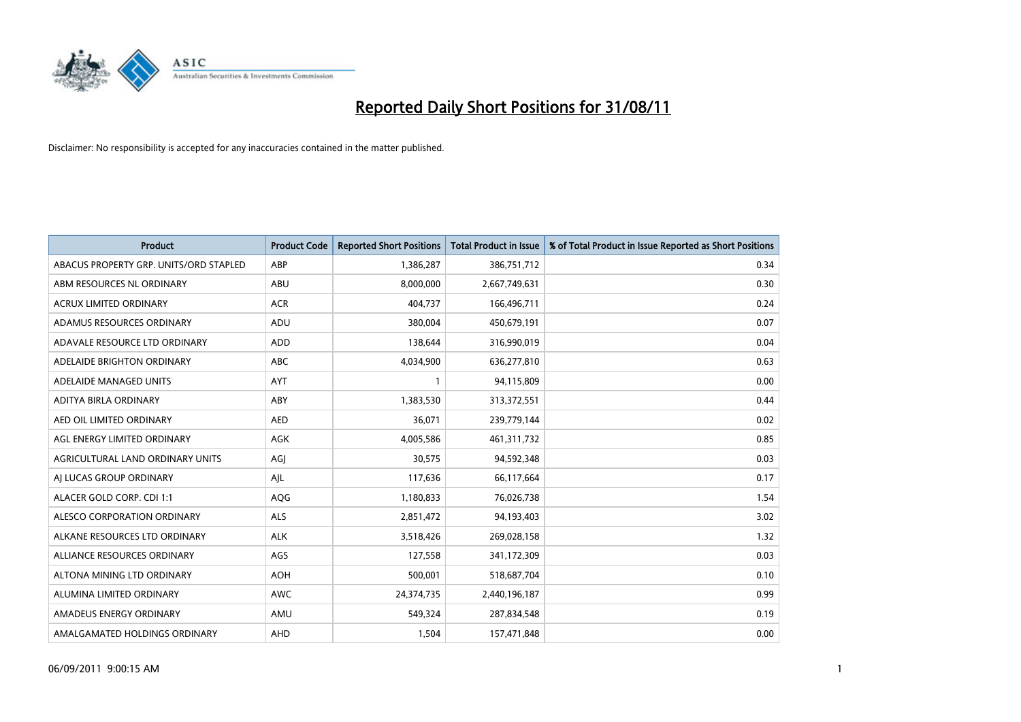

| Product                                | <b>Product Code</b> | <b>Reported Short Positions</b> | <b>Total Product in Issue</b> | % of Total Product in Issue Reported as Short Positions |
|----------------------------------------|---------------------|---------------------------------|-------------------------------|---------------------------------------------------------|
| ABACUS PROPERTY GRP. UNITS/ORD STAPLED | ABP                 | 1,386,287                       | 386,751,712                   | 0.34                                                    |
| ABM RESOURCES NL ORDINARY              | ABU                 | 8,000,000                       | 2,667,749,631                 | 0.30                                                    |
| <b>ACRUX LIMITED ORDINARY</b>          | <b>ACR</b>          | 404,737                         | 166,496,711                   | 0.24                                                    |
| ADAMUS RESOURCES ORDINARY              | ADU                 | 380,004                         | 450,679,191                   | 0.07                                                    |
| ADAVALE RESOURCE LTD ORDINARY          | <b>ADD</b>          | 138,644                         | 316,990,019                   | 0.04                                                    |
| ADELAIDE BRIGHTON ORDINARY             | <b>ABC</b>          | 4,034,900                       | 636,277,810                   | 0.63                                                    |
| ADELAIDE MANAGED UNITS                 | <b>AYT</b>          |                                 | 94,115,809                    | 0.00                                                    |
| ADITYA BIRLA ORDINARY                  | ABY                 | 1,383,530                       | 313,372,551                   | 0.44                                                    |
| AED OIL LIMITED ORDINARY               | <b>AED</b>          | 36,071                          | 239,779,144                   | 0.02                                                    |
| AGL ENERGY LIMITED ORDINARY            | <b>AGK</b>          | 4,005,586                       | 461,311,732                   | 0.85                                                    |
| AGRICULTURAL LAND ORDINARY UNITS       | AGJ                 | 30,575                          | 94,592,348                    | 0.03                                                    |
| AI LUCAS GROUP ORDINARY                | AJL                 | 117,636                         | 66,117,664                    | 0.17                                                    |
| ALACER GOLD CORP. CDI 1:1              | AQG                 | 1,180,833                       | 76,026,738                    | 1.54                                                    |
| ALESCO CORPORATION ORDINARY            | <b>ALS</b>          | 2,851,472                       | 94,193,403                    | 3.02                                                    |
| ALKANE RESOURCES LTD ORDINARY          | <b>ALK</b>          | 3,518,426                       | 269,028,158                   | 1.32                                                    |
| ALLIANCE RESOURCES ORDINARY            | AGS                 | 127,558                         | 341,172,309                   | 0.03                                                    |
| ALTONA MINING LTD ORDINARY             | <b>AOH</b>          | 500,001                         | 518,687,704                   | 0.10                                                    |
| ALUMINA LIMITED ORDINARY               | <b>AWC</b>          | 24,374,735                      | 2,440,196,187                 | 0.99                                                    |
| AMADEUS ENERGY ORDINARY                | AMU                 | 549,324                         | 287,834,548                   | 0.19                                                    |
| AMALGAMATED HOLDINGS ORDINARY          | AHD                 | 1,504                           | 157,471,848                   | 0.00                                                    |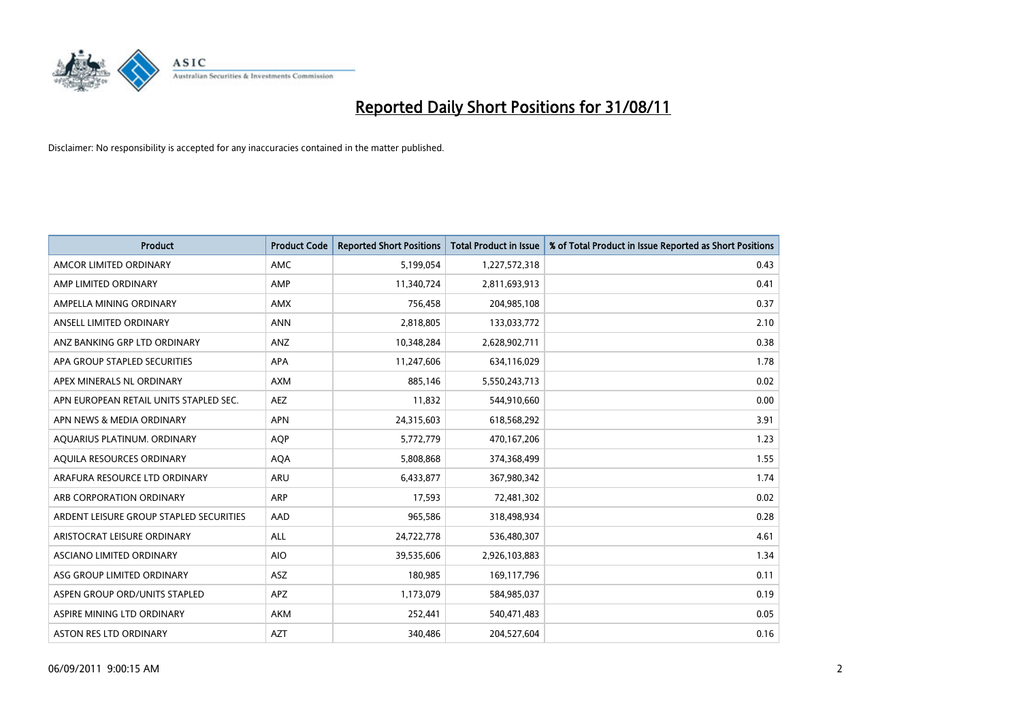

| <b>Product</b>                          | <b>Product Code</b> | <b>Reported Short Positions</b> | <b>Total Product in Issue</b> | % of Total Product in Issue Reported as Short Positions |
|-----------------------------------------|---------------------|---------------------------------|-------------------------------|---------------------------------------------------------|
| AMCOR LIMITED ORDINARY                  | <b>AMC</b>          | 5,199,054                       | 1,227,572,318                 | 0.43                                                    |
| AMP LIMITED ORDINARY                    | AMP                 | 11,340,724                      | 2,811,693,913                 | 0.41                                                    |
| AMPELLA MINING ORDINARY                 | <b>AMX</b>          | 756,458                         | 204,985,108                   | 0.37                                                    |
| ANSELL LIMITED ORDINARY                 | <b>ANN</b>          | 2,818,805                       | 133,033,772                   | 2.10                                                    |
| ANZ BANKING GRP LTD ORDINARY            | ANZ                 | 10,348,284                      | 2,628,902,711                 | 0.38                                                    |
| APA GROUP STAPLED SECURITIES            | <b>APA</b>          | 11,247,606                      | 634,116,029                   | 1.78                                                    |
| APEX MINERALS NL ORDINARY               | <b>AXM</b>          | 885,146                         | 5,550,243,713                 | 0.02                                                    |
| APN EUROPEAN RETAIL UNITS STAPLED SEC.  | <b>AEZ</b>          | 11,832                          | 544,910,660                   | 0.00                                                    |
| APN NEWS & MEDIA ORDINARY               | <b>APN</b>          | 24,315,603                      | 618,568,292                   | 3.91                                                    |
| AQUARIUS PLATINUM. ORDINARY             | <b>AOP</b>          | 5,772,779                       | 470,167,206                   | 1.23                                                    |
| AQUILA RESOURCES ORDINARY               | <b>AQA</b>          | 5,808,868                       | 374,368,499                   | 1.55                                                    |
| ARAFURA RESOURCE LTD ORDINARY           | ARU                 | 6,433,877                       | 367,980,342                   | 1.74                                                    |
| ARB CORPORATION ORDINARY                | <b>ARP</b>          | 17,593                          | 72,481,302                    | 0.02                                                    |
| ARDENT LEISURE GROUP STAPLED SECURITIES | AAD                 | 965,586                         | 318,498,934                   | 0.28                                                    |
| ARISTOCRAT LEISURE ORDINARY             | <b>ALL</b>          | 24,722,778                      | 536,480,307                   | 4.61                                                    |
| ASCIANO LIMITED ORDINARY                | <b>AIO</b>          | 39,535,606                      | 2,926,103,883                 | 1.34                                                    |
| ASG GROUP LIMITED ORDINARY              | <b>ASZ</b>          | 180,985                         | 169,117,796                   | 0.11                                                    |
| ASPEN GROUP ORD/UNITS STAPLED           | APZ                 | 1,173,079                       | 584,985,037                   | 0.19                                                    |
| ASPIRE MINING LTD ORDINARY              | <b>AKM</b>          | 252,441                         | 540,471,483                   | 0.05                                                    |
| ASTON RES LTD ORDINARY                  | <b>AZT</b>          | 340,486                         | 204,527,604                   | 0.16                                                    |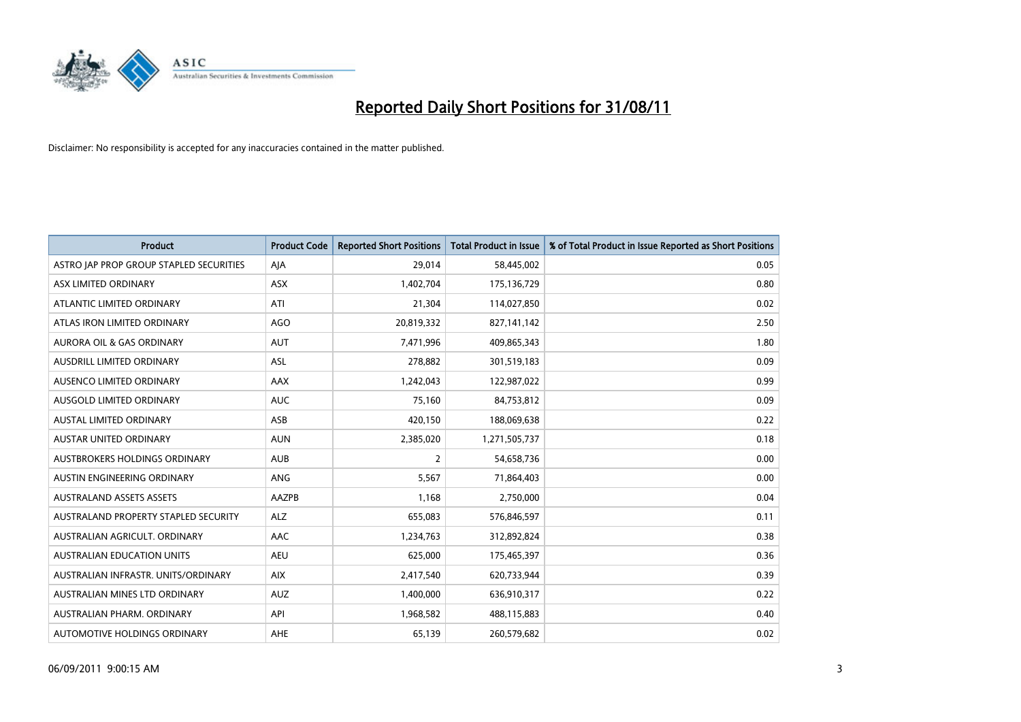

| Product                                 | <b>Product Code</b> | <b>Reported Short Positions</b> | <b>Total Product in Issue</b> | % of Total Product in Issue Reported as Short Positions |
|-----------------------------------------|---------------------|---------------------------------|-------------------------------|---------------------------------------------------------|
| ASTRO JAP PROP GROUP STAPLED SECURITIES | AJA                 | 29,014                          | 58,445,002                    | 0.05                                                    |
| ASX LIMITED ORDINARY                    | ASX                 | 1,402,704                       | 175,136,729                   | 0.80                                                    |
| ATLANTIC LIMITED ORDINARY               | ATI                 | 21,304                          | 114,027,850                   | 0.02                                                    |
| ATLAS IRON LIMITED ORDINARY             | AGO                 | 20,819,332                      | 827,141,142                   | 2.50                                                    |
| <b>AURORA OIL &amp; GAS ORDINARY</b>    | <b>AUT</b>          | 7,471,996                       | 409,865,343                   | 1.80                                                    |
| <b>AUSDRILL LIMITED ORDINARY</b>        | ASL                 | 278,882                         | 301,519,183                   | 0.09                                                    |
| AUSENCO LIMITED ORDINARY                | AAX                 | 1,242,043                       | 122,987,022                   | 0.99                                                    |
| AUSGOLD LIMITED ORDINARY                | <b>AUC</b>          | 75,160                          | 84,753,812                    | 0.09                                                    |
| AUSTAL LIMITED ORDINARY                 | ASB                 | 420,150                         | 188,069,638                   | 0.22                                                    |
| <b>AUSTAR UNITED ORDINARY</b>           | <b>AUN</b>          | 2,385,020                       | 1,271,505,737                 | 0.18                                                    |
| AUSTBROKERS HOLDINGS ORDINARY           | <b>AUB</b>          | 2                               | 54,658,736                    | 0.00                                                    |
| AUSTIN ENGINEERING ORDINARY             | ANG                 | 5,567                           | 71,864,403                    | 0.00                                                    |
| <b>AUSTRALAND ASSETS ASSETS</b>         | AAZPB               | 1,168                           | 2,750,000                     | 0.04                                                    |
| AUSTRALAND PROPERTY STAPLED SECURITY    | <b>ALZ</b>          | 655,083                         | 576,846,597                   | 0.11                                                    |
| AUSTRALIAN AGRICULT, ORDINARY           | AAC                 | 1,234,763                       | 312,892,824                   | 0.38                                                    |
| AUSTRALIAN EDUCATION UNITS              | <b>AEU</b>          | 625,000                         | 175,465,397                   | 0.36                                                    |
| AUSTRALIAN INFRASTR, UNITS/ORDINARY     | <b>AIX</b>          | 2,417,540                       | 620,733,944                   | 0.39                                                    |
| AUSTRALIAN MINES LTD ORDINARY           | <b>AUZ</b>          | 1,400,000                       | 636,910,317                   | 0.22                                                    |
| AUSTRALIAN PHARM, ORDINARY              | API                 | 1,968,582                       | 488,115,883                   | 0.40                                                    |
| AUTOMOTIVE HOLDINGS ORDINARY            | <b>AHE</b>          | 65,139                          | 260,579,682                   | 0.02                                                    |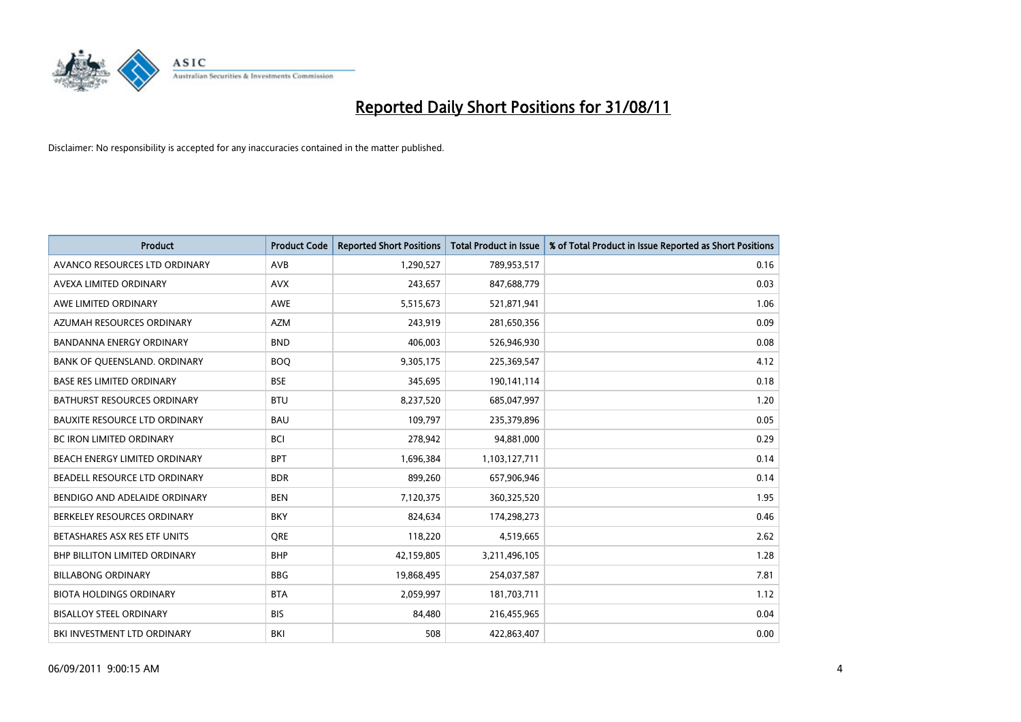

| <b>Product</b>                       | <b>Product Code</b> | <b>Reported Short Positions</b> | Total Product in Issue | % of Total Product in Issue Reported as Short Positions |
|--------------------------------------|---------------------|---------------------------------|------------------------|---------------------------------------------------------|
| AVANCO RESOURCES LTD ORDINARY        | AVB                 | 1,290,527                       | 789,953,517            | 0.16                                                    |
| AVEXA LIMITED ORDINARY               | <b>AVX</b>          | 243,657                         | 847,688,779            | 0.03                                                    |
| AWE LIMITED ORDINARY                 | <b>AWE</b>          | 5,515,673                       | 521,871,941            | 1.06                                                    |
| AZUMAH RESOURCES ORDINARY            | <b>AZM</b>          | 243,919                         | 281,650,356            | 0.09                                                    |
| <b>BANDANNA ENERGY ORDINARY</b>      | <b>BND</b>          | 406.003                         | 526,946,930            | 0.08                                                    |
| BANK OF QUEENSLAND. ORDINARY         | <b>BOQ</b>          | 9,305,175                       | 225,369,547            | 4.12                                                    |
| <b>BASE RES LIMITED ORDINARY</b>     | <b>BSE</b>          | 345,695                         | 190,141,114            | 0.18                                                    |
| <b>BATHURST RESOURCES ORDINARY</b>   | <b>BTU</b>          | 8,237,520                       | 685,047,997            | 1.20                                                    |
| <b>BAUXITE RESOURCE LTD ORDINARY</b> | <b>BAU</b>          | 109,797                         | 235,379,896            | 0.05                                                    |
| <b>BC IRON LIMITED ORDINARY</b>      | <b>BCI</b>          | 278,942                         | 94,881,000             | 0.29                                                    |
| BEACH ENERGY LIMITED ORDINARY        | <b>BPT</b>          | 1,696,384                       | 1,103,127,711          | 0.14                                                    |
| BEADELL RESOURCE LTD ORDINARY        | <b>BDR</b>          | 899,260                         | 657,906,946            | 0.14                                                    |
| BENDIGO AND ADELAIDE ORDINARY        | <b>BEN</b>          | 7,120,375                       | 360,325,520            | 1.95                                                    |
| BERKELEY RESOURCES ORDINARY          | <b>BKY</b>          | 824.634                         | 174,298,273            | 0.46                                                    |
| BETASHARES ASX RES ETF UNITS         | <b>ORE</b>          | 118,220                         | 4,519,665              | 2.62                                                    |
| <b>BHP BILLITON LIMITED ORDINARY</b> | <b>BHP</b>          | 42,159,805                      | 3,211,496,105          | 1.28                                                    |
| <b>BILLABONG ORDINARY</b>            | <b>BBG</b>          | 19,868,495                      | 254,037,587            | 7.81                                                    |
| <b>BIOTA HOLDINGS ORDINARY</b>       | <b>BTA</b>          | 2,059,997                       | 181,703,711            | 1.12                                                    |
| <b>BISALLOY STEEL ORDINARY</b>       | <b>BIS</b>          | 84,480                          | 216,455,965            | 0.04                                                    |
| BKI INVESTMENT LTD ORDINARY          | BKI                 | 508                             | 422,863,407            | 0.00                                                    |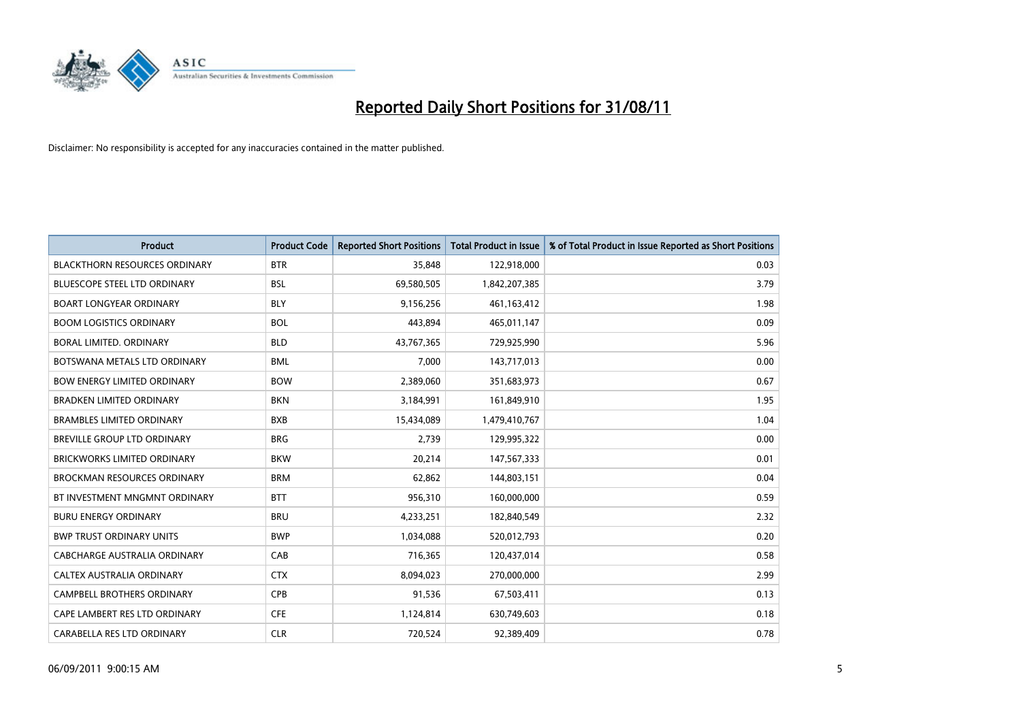

| Product                              | <b>Product Code</b> | <b>Reported Short Positions</b> | <b>Total Product in Issue</b> | % of Total Product in Issue Reported as Short Positions |
|--------------------------------------|---------------------|---------------------------------|-------------------------------|---------------------------------------------------------|
| <b>BLACKTHORN RESOURCES ORDINARY</b> | <b>BTR</b>          | 35,848                          | 122,918,000                   | 0.03                                                    |
| <b>BLUESCOPE STEEL LTD ORDINARY</b>  | <b>BSL</b>          | 69,580,505                      | 1,842,207,385                 | 3.79                                                    |
| <b>BOART LONGYEAR ORDINARY</b>       | <b>BLY</b>          | 9,156,256                       | 461,163,412                   | 1.98                                                    |
| <b>BOOM LOGISTICS ORDINARY</b>       | <b>BOL</b>          | 443,894                         | 465,011,147                   | 0.09                                                    |
| <b>BORAL LIMITED, ORDINARY</b>       | <b>BLD</b>          | 43,767,365                      | 729,925,990                   | 5.96                                                    |
| BOTSWANA METALS LTD ORDINARY         | <b>BML</b>          | 7,000                           | 143,717,013                   | 0.00                                                    |
| <b>BOW ENERGY LIMITED ORDINARY</b>   | <b>BOW</b>          | 2,389,060                       | 351,683,973                   | 0.67                                                    |
| <b>BRADKEN LIMITED ORDINARY</b>      | <b>BKN</b>          | 3,184,991                       | 161,849,910                   | 1.95                                                    |
| <b>BRAMBLES LIMITED ORDINARY</b>     | <b>BXB</b>          | 15,434,089                      | 1,479,410,767                 | 1.04                                                    |
| <b>BREVILLE GROUP LTD ORDINARY</b>   | <b>BRG</b>          | 2,739                           | 129,995,322                   | 0.00                                                    |
| <b>BRICKWORKS LIMITED ORDINARY</b>   | <b>BKW</b>          | 20,214                          | 147,567,333                   | 0.01                                                    |
| <b>BROCKMAN RESOURCES ORDINARY</b>   | <b>BRM</b>          | 62,862                          | 144,803,151                   | 0.04                                                    |
| BT INVESTMENT MNGMNT ORDINARY        | <b>BTT</b>          | 956,310                         | 160,000,000                   | 0.59                                                    |
| <b>BURU ENERGY ORDINARY</b>          | <b>BRU</b>          | 4,233,251                       | 182,840,549                   | 2.32                                                    |
| <b>BWP TRUST ORDINARY UNITS</b>      | <b>BWP</b>          | 1,034,088                       | 520,012,793                   | 0.20                                                    |
| CABCHARGE AUSTRALIA ORDINARY         | CAB                 | 716,365                         | 120,437,014                   | 0.58                                                    |
| CALTEX AUSTRALIA ORDINARY            | <b>CTX</b>          | 8,094,023                       | 270,000,000                   | 2.99                                                    |
| CAMPBELL BROTHERS ORDINARY           | <b>CPB</b>          | 91,536                          | 67,503,411                    | 0.13                                                    |
| CAPE LAMBERT RES LTD ORDINARY        | <b>CFE</b>          | 1,124,814                       | 630,749,603                   | 0.18                                                    |
| CARABELLA RES LTD ORDINARY           | <b>CLR</b>          | 720,524                         | 92,389,409                    | 0.78                                                    |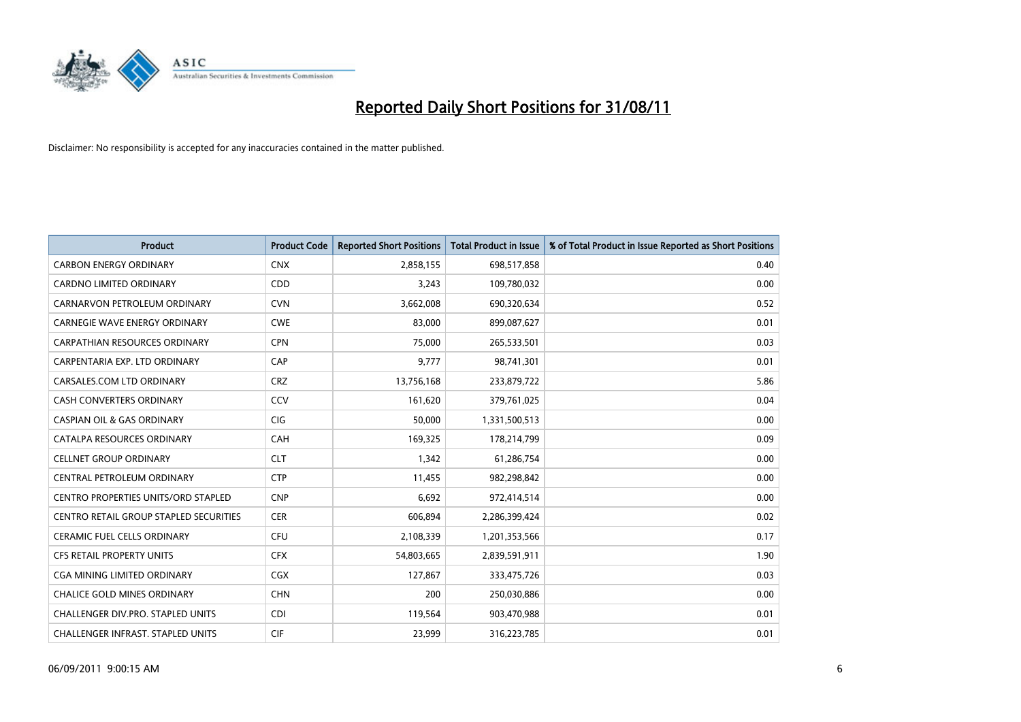

| <b>Product</b>                                | <b>Product Code</b> | <b>Reported Short Positions</b> | Total Product in Issue | % of Total Product in Issue Reported as Short Positions |
|-----------------------------------------------|---------------------|---------------------------------|------------------------|---------------------------------------------------------|
| <b>CARBON ENERGY ORDINARY</b>                 | <b>CNX</b>          | 2,858,155                       | 698,517,858            | 0.40                                                    |
| CARDNO LIMITED ORDINARY                       | CDD                 | 3,243                           | 109,780,032            | 0.00                                                    |
| CARNARVON PETROLEUM ORDINARY                  | <b>CVN</b>          | 3,662,008                       | 690,320,634            | 0.52                                                    |
| <b>CARNEGIE WAVE ENERGY ORDINARY</b>          | <b>CWE</b>          | 83,000                          | 899,087,627            | 0.01                                                    |
| <b>CARPATHIAN RESOURCES ORDINARY</b>          | <b>CPN</b>          | 75,000                          | 265,533,501            | 0.03                                                    |
| CARPENTARIA EXP. LTD ORDINARY                 | CAP                 | 9,777                           | 98,741,301             | 0.01                                                    |
| CARSALES.COM LTD ORDINARY                     | <b>CRZ</b>          | 13,756,168                      | 233,879,722            | 5.86                                                    |
| CASH CONVERTERS ORDINARY                      | CCV                 | 161,620                         | 379,761,025            | 0.04                                                    |
| <b>CASPIAN OIL &amp; GAS ORDINARY</b>         | <b>CIG</b>          | 50,000                          | 1,331,500,513          | 0.00                                                    |
| CATALPA RESOURCES ORDINARY                    | CAH                 | 169,325                         | 178,214,799            | 0.09                                                    |
| <b>CELLNET GROUP ORDINARY</b>                 | <b>CLT</b>          | 1,342                           | 61,286,754             | 0.00                                                    |
| CENTRAL PETROLEUM ORDINARY                    | <b>CTP</b>          | 11,455                          | 982,298,842            | 0.00                                                    |
| <b>CENTRO PROPERTIES UNITS/ORD STAPLED</b>    | <b>CNP</b>          | 6,692                           | 972,414,514            | 0.00                                                    |
| <b>CENTRO RETAIL GROUP STAPLED SECURITIES</b> | <b>CER</b>          | 606,894                         | 2,286,399,424          | 0.02                                                    |
| CERAMIC FUEL CELLS ORDINARY                   | <b>CFU</b>          | 2,108,339                       | 1,201,353,566          | 0.17                                                    |
| <b>CFS RETAIL PROPERTY UNITS</b>              | <b>CFX</b>          | 54,803,665                      | 2,839,591,911          | 1.90                                                    |
| <b>CGA MINING LIMITED ORDINARY</b>            | <b>CGX</b>          | 127,867                         | 333,475,726            | 0.03                                                    |
| CHALICE GOLD MINES ORDINARY                   | <b>CHN</b>          | 200                             | 250,030,886            | 0.00                                                    |
| CHALLENGER DIV.PRO. STAPLED UNITS             | <b>CDI</b>          | 119,564                         | 903,470,988            | 0.01                                                    |
| CHALLENGER INFRAST. STAPLED UNITS             | <b>CIF</b>          | 23,999                          | 316,223,785            | 0.01                                                    |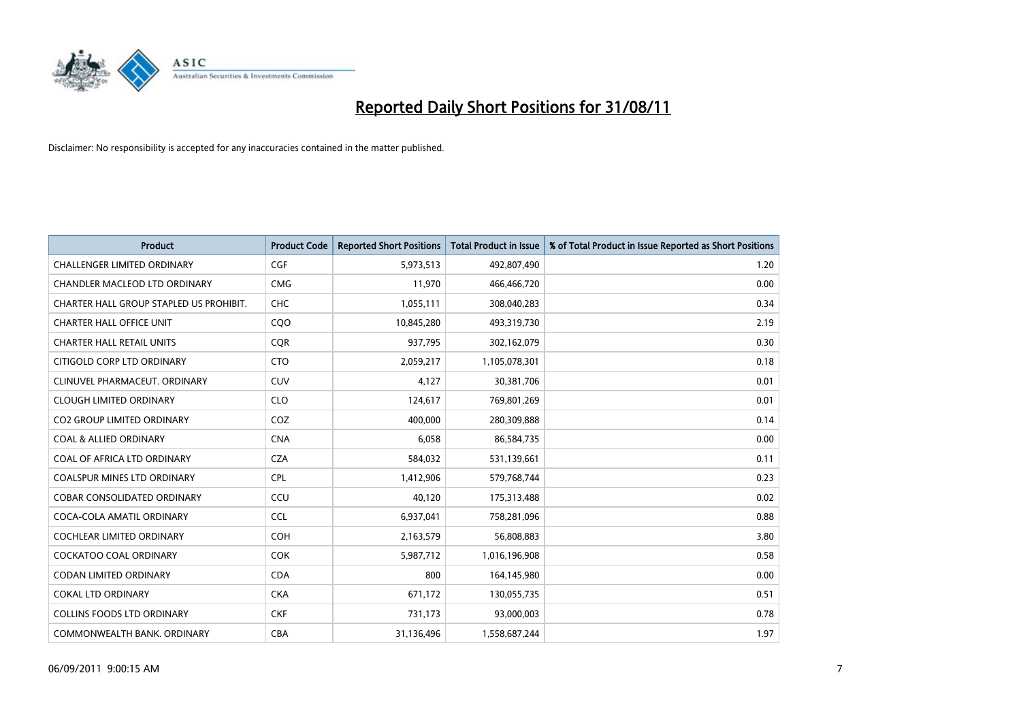

| <b>Product</b>                          | <b>Product Code</b> | <b>Reported Short Positions</b> | Total Product in Issue | % of Total Product in Issue Reported as Short Positions |
|-----------------------------------------|---------------------|---------------------------------|------------------------|---------------------------------------------------------|
| <b>CHALLENGER LIMITED ORDINARY</b>      | <b>CGF</b>          | 5,973,513                       | 492,807,490            | 1.20                                                    |
| CHANDLER MACLEOD LTD ORDINARY           | <b>CMG</b>          | 11,970                          | 466,466,720            | 0.00                                                    |
| CHARTER HALL GROUP STAPLED US PROHIBIT. | <b>CHC</b>          | 1,055,111                       | 308,040,283            | 0.34                                                    |
| <b>CHARTER HALL OFFICE UNIT</b>         | CQO                 | 10,845,280                      | 493,319,730            | 2.19                                                    |
| <b>CHARTER HALL RETAIL UNITS</b>        | <b>COR</b>          | 937,795                         | 302,162,079            | 0.30                                                    |
| CITIGOLD CORP LTD ORDINARY              | <b>CTO</b>          | 2,059,217                       | 1,105,078,301          | 0.18                                                    |
| CLINUVEL PHARMACEUT, ORDINARY           | <b>CUV</b>          | 4,127                           | 30,381,706             | 0.01                                                    |
| <b>CLOUGH LIMITED ORDINARY</b>          | <b>CLO</b>          | 124,617                         | 769,801,269            | 0.01                                                    |
| CO2 GROUP LIMITED ORDINARY              | COZ                 | 400,000                         | 280,309,888            | 0.14                                                    |
| <b>COAL &amp; ALLIED ORDINARY</b>       | <b>CNA</b>          | 6,058                           | 86,584,735             | 0.00                                                    |
| COAL OF AFRICA LTD ORDINARY             | <b>CZA</b>          | 584,032                         | 531,139,661            | 0.11                                                    |
| <b>COALSPUR MINES LTD ORDINARY</b>      | <b>CPL</b>          | 1,412,906                       | 579,768,744            | 0.23                                                    |
| <b>COBAR CONSOLIDATED ORDINARY</b>      | CCU                 | 40,120                          | 175,313,488            | 0.02                                                    |
| COCA-COLA AMATIL ORDINARY               | <b>CCL</b>          | 6,937,041                       | 758,281,096            | 0.88                                                    |
| <b>COCHLEAR LIMITED ORDINARY</b>        | <b>COH</b>          | 2,163,579                       | 56,808,883             | 3.80                                                    |
| <b>COCKATOO COAL ORDINARY</b>           | <b>COK</b>          | 5,987,712                       | 1,016,196,908          | 0.58                                                    |
| <b>CODAN LIMITED ORDINARY</b>           | <b>CDA</b>          | 800                             | 164,145,980            | 0.00                                                    |
| <b>COKAL LTD ORDINARY</b>               | <b>CKA</b>          | 671,172                         | 130,055,735            | 0.51                                                    |
| <b>COLLINS FOODS LTD ORDINARY</b>       | <b>CKF</b>          | 731,173                         | 93,000,003             | 0.78                                                    |
| COMMONWEALTH BANK, ORDINARY             | <b>CBA</b>          | 31,136,496                      | 1,558,687,244          | 1.97                                                    |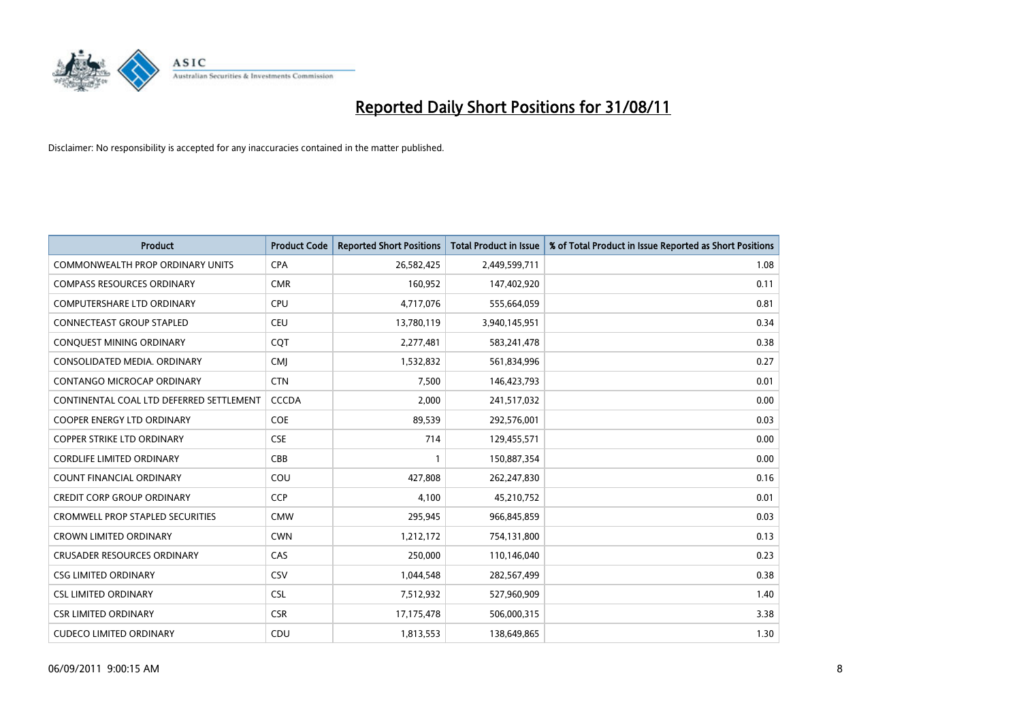

| Product                                  | <b>Product Code</b> | <b>Reported Short Positions</b> | <b>Total Product in Issue</b> | % of Total Product in Issue Reported as Short Positions |
|------------------------------------------|---------------------|---------------------------------|-------------------------------|---------------------------------------------------------|
| <b>COMMONWEALTH PROP ORDINARY UNITS</b>  | <b>CPA</b>          | 26,582,425                      | 2,449,599,711                 | 1.08                                                    |
| <b>COMPASS RESOURCES ORDINARY</b>        | <b>CMR</b>          | 160,952                         | 147,402,920                   | 0.11                                                    |
| <b>COMPUTERSHARE LTD ORDINARY</b>        | <b>CPU</b>          | 4,717,076                       | 555,664,059                   | 0.81                                                    |
| CONNECTEAST GROUP STAPLED                | <b>CEU</b>          | 13,780,119                      | 3,940,145,951                 | 0.34                                                    |
| CONQUEST MINING ORDINARY                 | COT                 | 2,277,481                       | 583,241,478                   | 0.38                                                    |
| CONSOLIDATED MEDIA, ORDINARY             | <b>CMJ</b>          | 1,532,832                       | 561,834,996                   | 0.27                                                    |
| CONTANGO MICROCAP ORDINARY               | <b>CTN</b>          | 7.500                           | 146,423,793                   | 0.01                                                    |
| CONTINENTAL COAL LTD DEFERRED SETTLEMENT | <b>CCCDA</b>        | 2,000                           | 241,517,032                   | 0.00                                                    |
| COOPER ENERGY LTD ORDINARY               | <b>COE</b>          | 89,539                          | 292,576,001                   | 0.03                                                    |
| <b>COPPER STRIKE LTD ORDINARY</b>        | <b>CSE</b>          | 714                             | 129,455,571                   | 0.00                                                    |
| <b>CORDLIFE LIMITED ORDINARY</b>         | <b>CBB</b>          |                                 | 150,887,354                   | 0.00                                                    |
| COUNT FINANCIAL ORDINARY                 | COU                 | 427,808                         | 262,247,830                   | 0.16                                                    |
| <b>CREDIT CORP GROUP ORDINARY</b>        | <b>CCP</b>          | 4,100                           | 45,210,752                    | 0.01                                                    |
| <b>CROMWELL PROP STAPLED SECURITIES</b>  | <b>CMW</b>          | 295,945                         | 966,845,859                   | 0.03                                                    |
| <b>CROWN LIMITED ORDINARY</b>            | <b>CWN</b>          | 1,212,172                       | 754,131,800                   | 0.13                                                    |
| <b>CRUSADER RESOURCES ORDINARY</b>       | CAS                 | 250,000                         | 110,146,040                   | 0.23                                                    |
| <b>CSG LIMITED ORDINARY</b>              | CSV                 | 1,044,548                       | 282,567,499                   | 0.38                                                    |
| <b>CSL LIMITED ORDINARY</b>              | <b>CSL</b>          | 7,512,932                       | 527,960,909                   | 1.40                                                    |
| <b>CSR LIMITED ORDINARY</b>              | <b>CSR</b>          | 17,175,478                      | 506,000,315                   | 3.38                                                    |
| <b>CUDECO LIMITED ORDINARY</b>           | CDU                 | 1,813,553                       | 138,649,865                   | 1.30                                                    |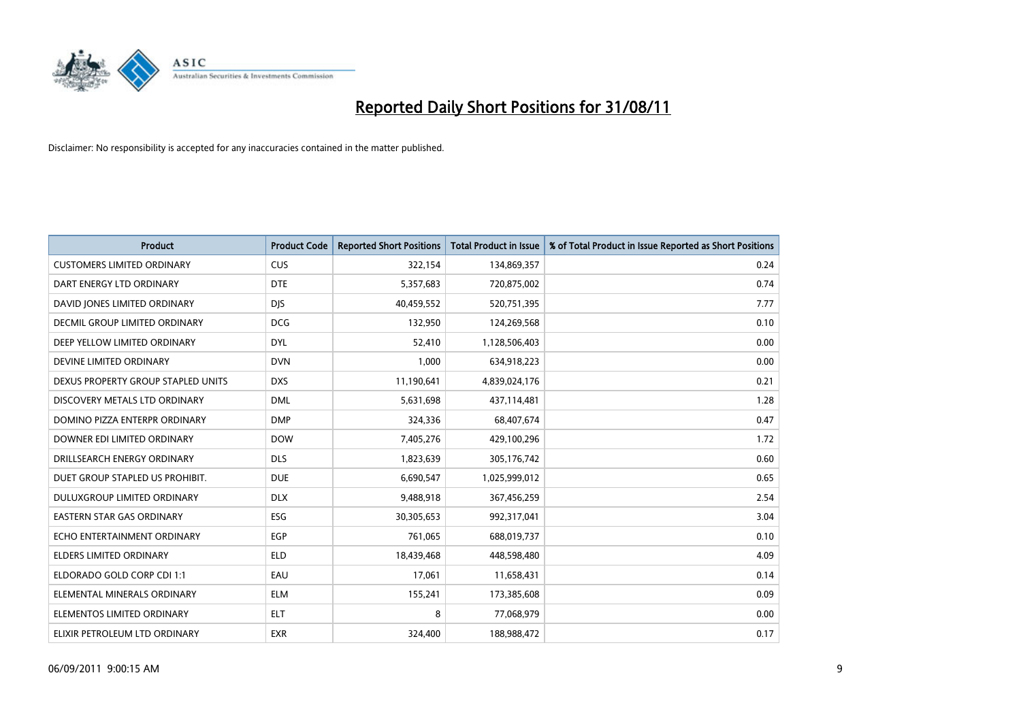

| Product                            | <b>Product Code</b> | <b>Reported Short Positions</b> | <b>Total Product in Issue</b> | % of Total Product in Issue Reported as Short Positions |
|------------------------------------|---------------------|---------------------------------|-------------------------------|---------------------------------------------------------|
| <b>CUSTOMERS LIMITED ORDINARY</b>  | <b>CUS</b>          | 322,154                         | 134,869,357                   | 0.24                                                    |
| DART ENERGY LTD ORDINARY           | <b>DTE</b>          | 5,357,683                       | 720,875,002                   | 0.74                                                    |
| DAVID JONES LIMITED ORDINARY       | <b>DJS</b>          | 40,459,552                      | 520,751,395                   | 7.77                                                    |
| DECMIL GROUP LIMITED ORDINARY      | <b>DCG</b>          | 132,950                         | 124,269,568                   | 0.10                                                    |
| DEEP YELLOW LIMITED ORDINARY       | <b>DYL</b>          | 52,410                          | 1,128,506,403                 | 0.00                                                    |
| DEVINE LIMITED ORDINARY            | <b>DVN</b>          | 1,000                           | 634,918,223                   | 0.00                                                    |
| DEXUS PROPERTY GROUP STAPLED UNITS | <b>DXS</b>          | 11,190,641                      | 4,839,024,176                 | 0.21                                                    |
| DISCOVERY METALS LTD ORDINARY      | <b>DML</b>          | 5,631,698                       | 437,114,481                   | 1.28                                                    |
| DOMINO PIZZA ENTERPR ORDINARY      | <b>DMP</b>          | 324,336                         | 68,407,674                    | 0.47                                                    |
| DOWNER EDI LIMITED ORDINARY        | <b>DOW</b>          | 7,405,276                       | 429,100,296                   | 1.72                                                    |
| DRILLSEARCH ENERGY ORDINARY        | <b>DLS</b>          | 1,823,639                       | 305,176,742                   | 0.60                                                    |
| DUET GROUP STAPLED US PROHIBIT.    | <b>DUE</b>          | 6,690,547                       | 1,025,999,012                 | 0.65                                                    |
| DULUXGROUP LIMITED ORDINARY        | <b>DLX</b>          | 9,488,918                       | 367,456,259                   | 2.54                                                    |
| <b>EASTERN STAR GAS ORDINARY</b>   | ESG                 | 30,305,653                      | 992,317,041                   | 3.04                                                    |
| ECHO ENTERTAINMENT ORDINARY        | <b>EGP</b>          | 761,065                         | 688,019,737                   | 0.10                                                    |
| <b>ELDERS LIMITED ORDINARY</b>     | <b>ELD</b>          | 18,439,468                      | 448,598,480                   | 4.09                                                    |
| ELDORADO GOLD CORP CDI 1:1         | EAU                 | 17,061                          | 11,658,431                    | 0.14                                                    |
| ELEMENTAL MINERALS ORDINARY        | <b>ELM</b>          | 155,241                         | 173,385,608                   | 0.09                                                    |
| ELEMENTOS LIMITED ORDINARY         | <b>ELT</b>          | 8                               | 77,068,979                    | 0.00                                                    |
| ELIXIR PETROLEUM LTD ORDINARY      | <b>EXR</b>          | 324,400                         | 188,988,472                   | 0.17                                                    |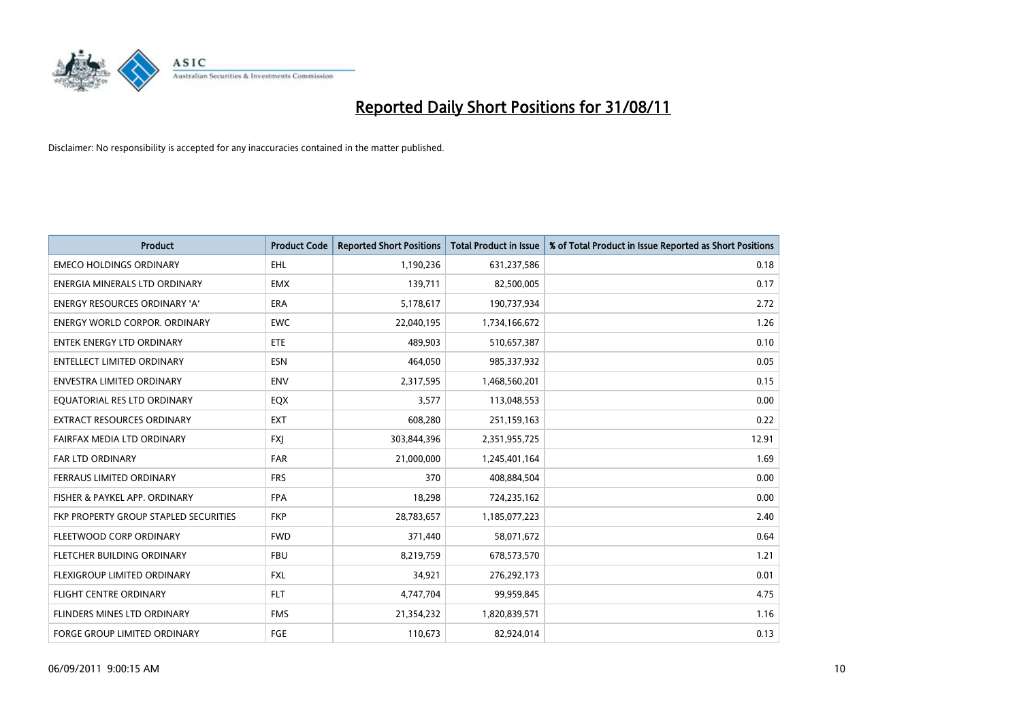

| <b>Product</b>                        | <b>Product Code</b> | <b>Reported Short Positions</b> | <b>Total Product in Issue</b> | % of Total Product in Issue Reported as Short Positions |
|---------------------------------------|---------------------|---------------------------------|-------------------------------|---------------------------------------------------------|
| <b>EMECO HOLDINGS ORDINARY</b>        | <b>EHL</b>          | 1,190,236                       | 631,237,586                   | 0.18                                                    |
| ENERGIA MINERALS LTD ORDINARY         | <b>EMX</b>          | 139,711                         | 82,500,005                    | 0.17                                                    |
| <b>ENERGY RESOURCES ORDINARY 'A'</b>  | <b>ERA</b>          | 5,178,617                       | 190,737,934                   | 2.72                                                    |
| <b>ENERGY WORLD CORPOR. ORDINARY</b>  | <b>EWC</b>          | 22,040,195                      | 1,734,166,672                 | 1.26                                                    |
| <b>ENTEK ENERGY LTD ORDINARY</b>      | <b>ETE</b>          | 489,903                         | 510,657,387                   | 0.10                                                    |
| <b>ENTELLECT LIMITED ORDINARY</b>     | <b>ESN</b>          | 464,050                         | 985,337,932                   | 0.05                                                    |
| ENVESTRA LIMITED ORDINARY             | <b>ENV</b>          | 2,317,595                       | 1,468,560,201                 | 0.15                                                    |
| EQUATORIAL RES LTD ORDINARY           | EQX                 | 3,577                           | 113,048,553                   | 0.00                                                    |
| EXTRACT RESOURCES ORDINARY            | <b>EXT</b>          | 608,280                         | 251,159,163                   | 0.22                                                    |
| <b>FAIRFAX MEDIA LTD ORDINARY</b>     | <b>FXI</b>          | 303,844,396                     | 2,351,955,725                 | 12.91                                                   |
| <b>FAR LTD ORDINARY</b>               | <b>FAR</b>          | 21,000,000                      | 1,245,401,164                 | 1.69                                                    |
| FERRAUS LIMITED ORDINARY              | <b>FRS</b>          | 370                             | 408,884,504                   | 0.00                                                    |
| FISHER & PAYKEL APP. ORDINARY         | <b>FPA</b>          | 18,298                          | 724,235,162                   | 0.00                                                    |
| FKP PROPERTY GROUP STAPLED SECURITIES | <b>FKP</b>          | 28,783,657                      | 1,185,077,223                 | 2.40                                                    |
| FLEETWOOD CORP ORDINARY               | <b>FWD</b>          | 371,440                         | 58,071,672                    | 0.64                                                    |
| FLETCHER BUILDING ORDINARY            | <b>FBU</b>          | 8,219,759                       | 678,573,570                   | 1.21                                                    |
| FLEXIGROUP LIMITED ORDINARY           | <b>FXL</b>          | 34,921                          | 276,292,173                   | 0.01                                                    |
| FLIGHT CENTRE ORDINARY                | <b>FLT</b>          | 4,747,704                       | 99,959,845                    | 4.75                                                    |
| FLINDERS MINES LTD ORDINARY           | <b>FMS</b>          | 21,354,232                      | 1,820,839,571                 | 1.16                                                    |
| FORGE GROUP LIMITED ORDINARY          | FGE                 | 110,673                         | 82,924,014                    | 0.13                                                    |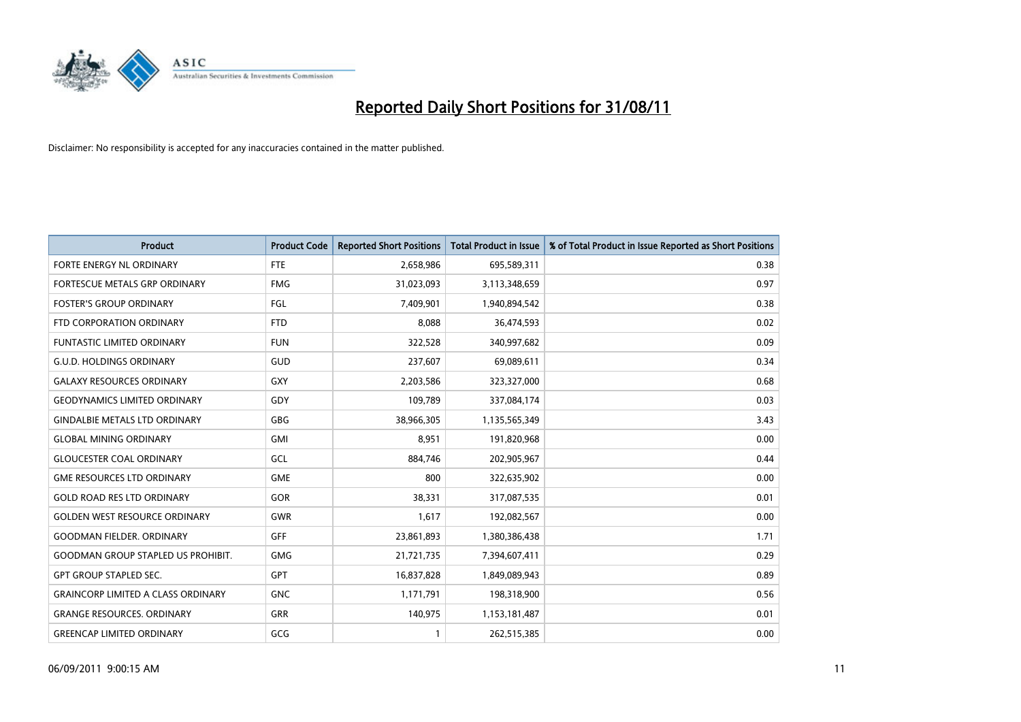

| Product                                   | <b>Product Code</b> | <b>Reported Short Positions</b> | <b>Total Product in Issue</b> | % of Total Product in Issue Reported as Short Positions |
|-------------------------------------------|---------------------|---------------------------------|-------------------------------|---------------------------------------------------------|
| FORTE ENERGY NL ORDINARY                  | <b>FTE</b>          | 2,658,986                       | 695,589,311                   | 0.38                                                    |
| FORTESCUE METALS GRP ORDINARY             | <b>FMG</b>          | 31,023,093                      | 3,113,348,659                 | 0.97                                                    |
| <b>FOSTER'S GROUP ORDINARY</b>            | FGL                 | 7,409,901                       | 1,940,894,542                 | 0.38                                                    |
| FTD CORPORATION ORDINARY                  | <b>FTD</b>          | 8,088                           | 36,474,593                    | 0.02                                                    |
| <b>FUNTASTIC LIMITED ORDINARY</b>         | <b>FUN</b>          | 322,528                         | 340,997,682                   | 0.09                                                    |
| <b>G.U.D. HOLDINGS ORDINARY</b>           | GUD                 | 237,607                         | 69,089,611                    | 0.34                                                    |
| <b>GALAXY RESOURCES ORDINARY</b>          | GXY                 | 2,203,586                       | 323,327,000                   | 0.68                                                    |
| <b>GEODYNAMICS LIMITED ORDINARY</b>       | GDY                 | 109,789                         | 337,084,174                   | 0.03                                                    |
| GINDALBIE METALS LTD ORDINARY             | GBG                 | 38,966,305                      | 1,135,565,349                 | 3.43                                                    |
| <b>GLOBAL MINING ORDINARY</b>             | GMI                 | 8.951                           | 191,820,968                   | 0.00                                                    |
| <b>GLOUCESTER COAL ORDINARY</b>           | GCL                 | 884,746                         | 202,905,967                   | 0.44                                                    |
| <b>GME RESOURCES LTD ORDINARY</b>         | <b>GME</b>          | 800                             | 322,635,902                   | 0.00                                                    |
| <b>GOLD ROAD RES LTD ORDINARY</b>         | GOR                 | 38.331                          | 317,087,535                   | 0.01                                                    |
| <b>GOLDEN WEST RESOURCE ORDINARY</b>      | <b>GWR</b>          | 1,617                           | 192,082,567                   | 0.00                                                    |
| <b>GOODMAN FIELDER, ORDINARY</b>          | <b>GFF</b>          | 23,861,893                      | 1,380,386,438                 | 1.71                                                    |
| <b>GOODMAN GROUP STAPLED US PROHIBIT.</b> | <b>GMG</b>          | 21,721,735                      | 7,394,607,411                 | 0.29                                                    |
| <b>GPT GROUP STAPLED SEC.</b>             | <b>GPT</b>          | 16,837,828                      | 1,849,089,943                 | 0.89                                                    |
| <b>GRAINCORP LIMITED A CLASS ORDINARY</b> | <b>GNC</b>          | 1,171,791                       | 198,318,900                   | 0.56                                                    |
| <b>GRANGE RESOURCES, ORDINARY</b>         | GRR                 | 140,975                         | 1,153,181,487                 | 0.01                                                    |
| <b>GREENCAP LIMITED ORDINARY</b>          | GCG                 |                                 | 262,515,385                   | 0.00                                                    |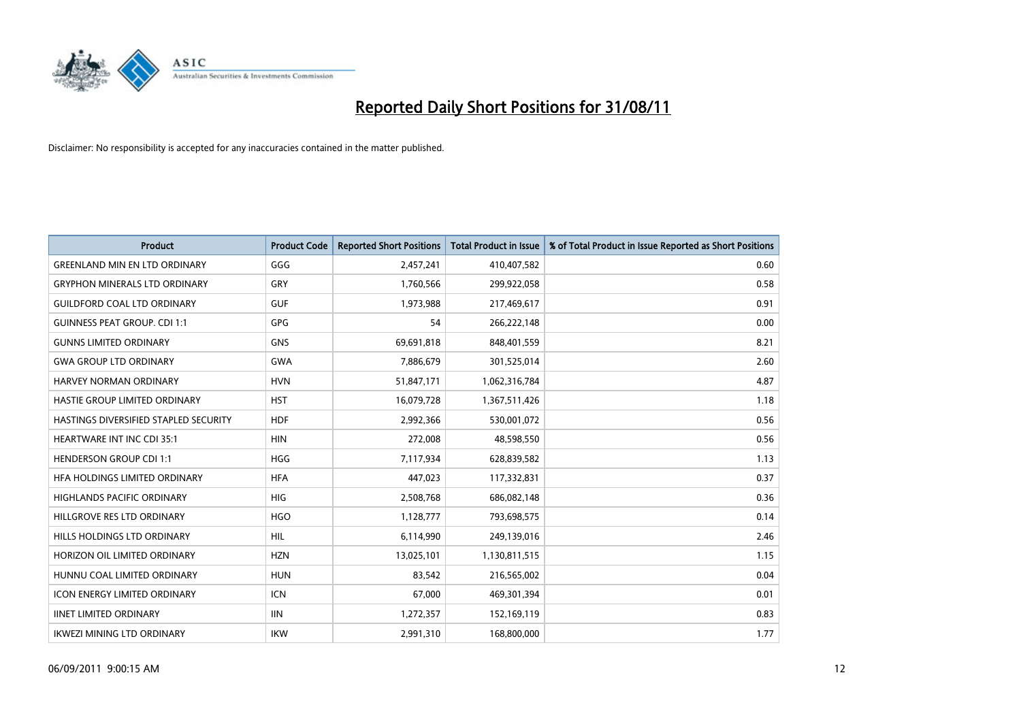

| Product                               | <b>Product Code</b> | <b>Reported Short Positions</b> | <b>Total Product in Issue</b> | % of Total Product in Issue Reported as Short Positions |
|---------------------------------------|---------------------|---------------------------------|-------------------------------|---------------------------------------------------------|
| <b>GREENLAND MIN EN LTD ORDINARY</b>  | GGG                 | 2,457,241                       | 410,407,582                   | 0.60                                                    |
| <b>GRYPHON MINERALS LTD ORDINARY</b>  | GRY                 | 1,760,566                       | 299,922,058                   | 0.58                                                    |
| <b>GUILDFORD COAL LTD ORDINARY</b>    | <b>GUF</b>          | 1,973,988                       | 217,469,617                   | 0.91                                                    |
| <b>GUINNESS PEAT GROUP. CDI 1:1</b>   | <b>GPG</b>          | 54                              | 266,222,148                   | 0.00                                                    |
| <b>GUNNS LIMITED ORDINARY</b>         | <b>GNS</b>          | 69,691,818                      | 848,401,559                   | 8.21                                                    |
| <b>GWA GROUP LTD ORDINARY</b>         | <b>GWA</b>          | 7,886,679                       | 301,525,014                   | 2.60                                                    |
| <b>HARVEY NORMAN ORDINARY</b>         | <b>HVN</b>          | 51,847,171                      | 1,062,316,784                 | 4.87                                                    |
| HASTIE GROUP LIMITED ORDINARY         | <b>HST</b>          | 16,079,728                      | 1,367,511,426                 | 1.18                                                    |
| HASTINGS DIVERSIFIED STAPLED SECURITY | <b>HDF</b>          | 2,992,366                       | 530,001,072                   | 0.56                                                    |
| HEARTWARE INT INC CDI 35:1            | <b>HIN</b>          | 272,008                         | 48,598,550                    | 0.56                                                    |
| <b>HENDERSON GROUP CDI 1:1</b>        | <b>HGG</b>          | 7,117,934                       | 628,839,582                   | 1.13                                                    |
| HFA HOLDINGS LIMITED ORDINARY         | <b>HFA</b>          | 447,023                         | 117,332,831                   | 0.37                                                    |
| <b>HIGHLANDS PACIFIC ORDINARY</b>     | <b>HIG</b>          | 2,508,768                       | 686,082,148                   | 0.36                                                    |
| HILLGROVE RES LTD ORDINARY            | <b>HGO</b>          | 1,128,777                       | 793,698,575                   | 0.14                                                    |
| HILLS HOLDINGS LTD ORDINARY           | <b>HIL</b>          | 6,114,990                       | 249,139,016                   | 2.46                                                    |
| HORIZON OIL LIMITED ORDINARY          | <b>HZN</b>          | 13,025,101                      | 1,130,811,515                 | 1.15                                                    |
| HUNNU COAL LIMITED ORDINARY           | <b>HUN</b>          | 83,542                          | 216,565,002                   | 0.04                                                    |
| ICON ENERGY LIMITED ORDINARY          | <b>ICN</b>          | 67,000                          | 469,301,394                   | 0.01                                                    |
| <b>IINET LIMITED ORDINARY</b>         | <b>IIN</b>          | 1,272,357                       | 152,169,119                   | 0.83                                                    |
| IKWEZI MINING LTD ORDINARY            | <b>IKW</b>          | 2,991,310                       | 168,800,000                   | 1.77                                                    |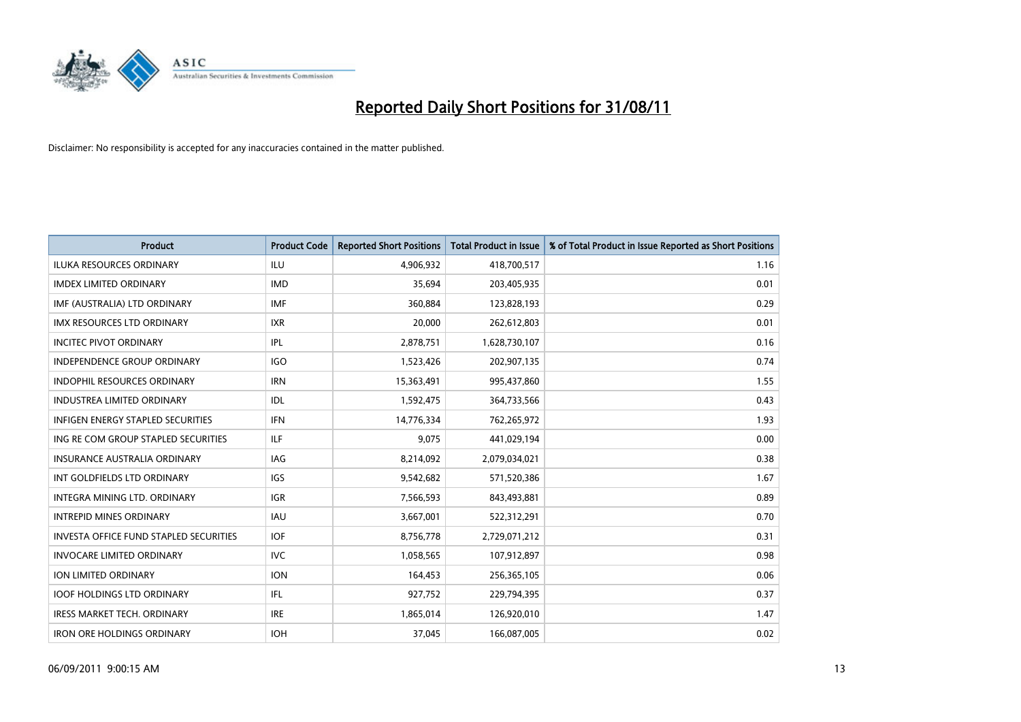

| <b>Product</b>                                | <b>Product Code</b> | <b>Reported Short Positions</b> | <b>Total Product in Issue</b> | % of Total Product in Issue Reported as Short Positions |
|-----------------------------------------------|---------------------|---------------------------------|-------------------------------|---------------------------------------------------------|
| <b>ILUKA RESOURCES ORDINARY</b>               | ILU                 | 4,906,932                       | 418,700,517                   | 1.16                                                    |
| <b>IMDEX LIMITED ORDINARY</b>                 | <b>IMD</b>          | 35,694                          | 203,405,935                   | 0.01                                                    |
| IMF (AUSTRALIA) LTD ORDINARY                  | <b>IMF</b>          | 360,884                         | 123,828,193                   | 0.29                                                    |
| IMX RESOURCES LTD ORDINARY                    | <b>IXR</b>          | 20,000                          | 262,612,803                   | 0.01                                                    |
| <b>INCITEC PIVOT ORDINARY</b>                 | <b>IPL</b>          | 2,878,751                       | 1,628,730,107                 | 0.16                                                    |
| <b>INDEPENDENCE GROUP ORDINARY</b>            | <b>IGO</b>          | 1,523,426                       | 202,907,135                   | 0.74                                                    |
| INDOPHIL RESOURCES ORDINARY                   | <b>IRN</b>          | 15,363,491                      | 995,437,860                   | 1.55                                                    |
| <b>INDUSTREA LIMITED ORDINARY</b>             | IDL                 | 1,592,475                       | 364,733,566                   | 0.43                                                    |
| INFIGEN ENERGY STAPLED SECURITIES             | <b>IFN</b>          | 14,776,334                      | 762,265,972                   | 1.93                                                    |
| ING RE COM GROUP STAPLED SECURITIES           | ILF                 | 9,075                           | 441,029,194                   | 0.00                                                    |
| <b>INSURANCE AUSTRALIA ORDINARY</b>           | IAG                 | 8,214,092                       | 2,079,034,021                 | 0.38                                                    |
| INT GOLDFIELDS LTD ORDINARY                   | <b>IGS</b>          | 9,542,682                       | 571,520,386                   | 1.67                                                    |
| <b>INTEGRA MINING LTD, ORDINARY</b>           | <b>IGR</b>          | 7,566,593                       | 843,493,881                   | 0.89                                                    |
| <b>INTREPID MINES ORDINARY</b>                | <b>IAU</b>          | 3,667,001                       | 522,312,291                   | 0.70                                                    |
| <b>INVESTA OFFICE FUND STAPLED SECURITIES</b> | <b>IOF</b>          | 8,756,778                       | 2,729,071,212                 | 0.31                                                    |
| <b>INVOCARE LIMITED ORDINARY</b>              | <b>IVC</b>          | 1,058,565                       | 107,912,897                   | 0.98                                                    |
| ION LIMITED ORDINARY                          | <b>ION</b>          | 164,453                         | 256,365,105                   | 0.06                                                    |
| <b>IOOF HOLDINGS LTD ORDINARY</b>             | <b>IFL</b>          | 927,752                         | 229,794,395                   | 0.37                                                    |
| IRESS MARKET TECH. ORDINARY                   | <b>IRE</b>          | 1,865,014                       | 126,920,010                   | 1.47                                                    |
| <b>IRON ORE HOLDINGS ORDINARY</b>             | <b>IOH</b>          | 37,045                          | 166,087,005                   | 0.02                                                    |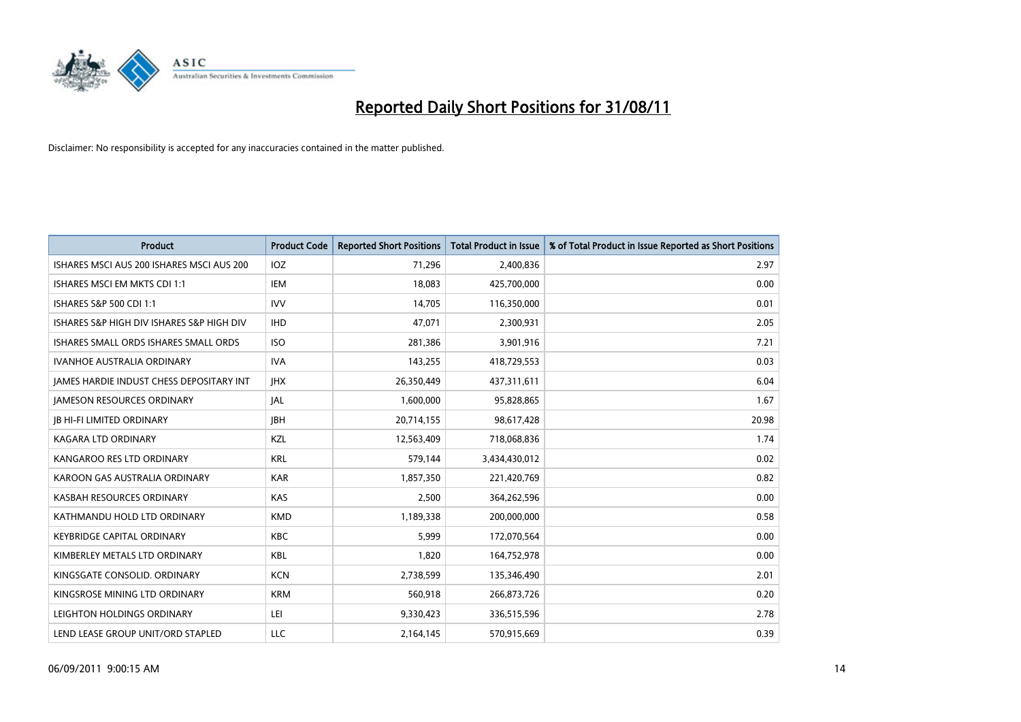

| <b>Product</b>                                  | <b>Product Code</b> | <b>Reported Short Positions</b> | Total Product in Issue | % of Total Product in Issue Reported as Short Positions |
|-------------------------------------------------|---------------------|---------------------------------|------------------------|---------------------------------------------------------|
| ISHARES MSCI AUS 200 ISHARES MSCI AUS 200       | <b>IOZ</b>          | 71,296                          | 2,400,836              | 2.97                                                    |
| ISHARES MSCI EM MKTS CDI 1:1                    | IEM                 | 18,083                          | 425,700,000            | 0.00                                                    |
| ISHARES S&P 500 CDI 1:1                         | <b>IVV</b>          | 14,705                          | 116,350,000            | 0.01                                                    |
| ISHARES S&P HIGH DIV ISHARES S&P HIGH DIV       | <b>IHD</b>          | 47,071                          | 2,300,931              | 2.05                                                    |
| ISHARES SMALL ORDS ISHARES SMALL ORDS           | <b>ISO</b>          | 281,386                         | 3,901,916              | 7.21                                                    |
| <b>IVANHOE AUSTRALIA ORDINARY</b>               | <b>IVA</b>          | 143,255                         | 418,729,553            | 0.03                                                    |
| <b>JAMES HARDIE INDUST CHESS DEPOSITARY INT</b> | <b>IHX</b>          | 26,350,449                      | 437,311,611            | 6.04                                                    |
| <b>JAMESON RESOURCES ORDINARY</b>               | <b>JAL</b>          | 1,600,000                       | 95,828,865             | 1.67                                                    |
| <b>JB HI-FI LIMITED ORDINARY</b>                | <b>IBH</b>          | 20,714,155                      | 98,617,428             | 20.98                                                   |
| <b>KAGARA LTD ORDINARY</b>                      | KZL                 | 12,563,409                      | 718,068,836            | 1.74                                                    |
| KANGAROO RES LTD ORDINARY                       | <b>KRL</b>          | 579,144                         | 3,434,430,012          | 0.02                                                    |
| KAROON GAS AUSTRALIA ORDINARY                   | <b>KAR</b>          | 1,857,350                       | 221,420,769            | 0.82                                                    |
| KASBAH RESOURCES ORDINARY                       | <b>KAS</b>          | 2,500                           | 364,262,596            | 0.00                                                    |
| KATHMANDU HOLD LTD ORDINARY                     | <b>KMD</b>          | 1,189,338                       | 200,000,000            | 0.58                                                    |
| KEYBRIDGE CAPITAL ORDINARY                      | <b>KBC</b>          | 5,999                           | 172,070,564            | 0.00                                                    |
| KIMBERLEY METALS LTD ORDINARY                   | <b>KBL</b>          | 1,820                           | 164,752,978            | 0.00                                                    |
| KINGSGATE CONSOLID. ORDINARY                    | <b>KCN</b>          | 2,738,599                       | 135,346,490            | 2.01                                                    |
| KINGSROSE MINING LTD ORDINARY                   | <b>KRM</b>          | 560,918                         | 266,873,726            | 0.20                                                    |
| LEIGHTON HOLDINGS ORDINARY                      | LEI                 | 9,330,423                       | 336,515,596            | 2.78                                                    |
| LEND LEASE GROUP UNIT/ORD STAPLED               | <b>LLC</b>          | 2,164,145                       | 570,915,669            | 0.39                                                    |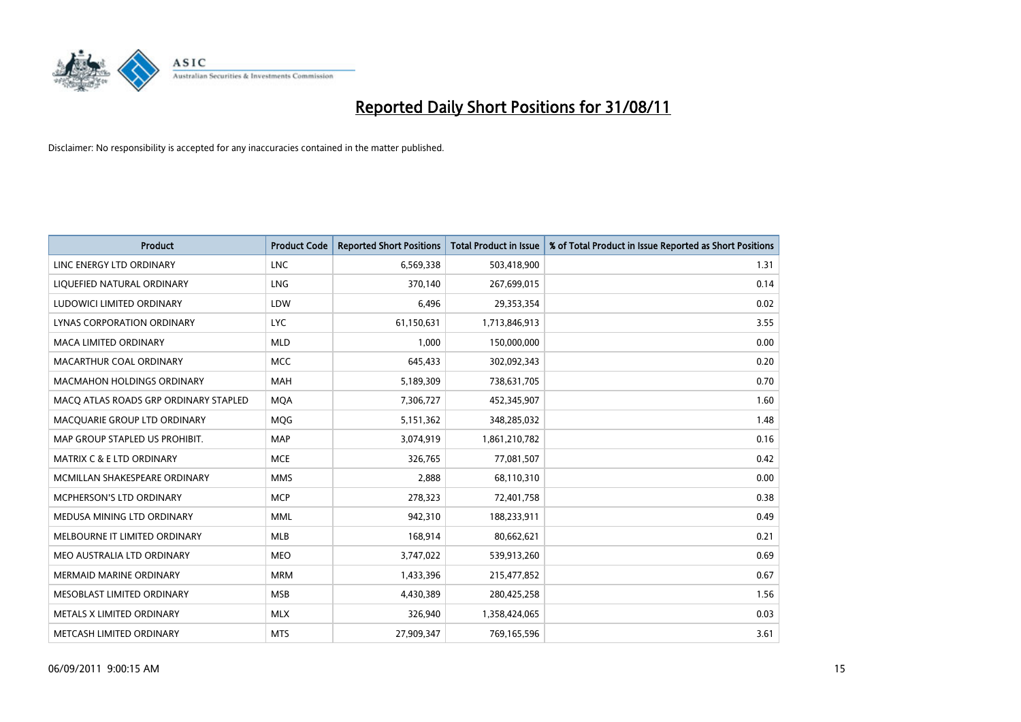

| <b>Product</b>                        | <b>Product Code</b> | <b>Reported Short Positions</b> | <b>Total Product in Issue</b> | % of Total Product in Issue Reported as Short Positions |
|---------------------------------------|---------------------|---------------------------------|-------------------------------|---------------------------------------------------------|
| LINC ENERGY LTD ORDINARY              | <b>LNC</b>          | 6,569,338                       | 503,418,900                   | 1.31                                                    |
| LIQUEFIED NATURAL ORDINARY            | LNG                 | 370,140                         | 267,699,015                   | 0.14                                                    |
| LUDOWICI LIMITED ORDINARY             | LDW                 | 6,496                           | 29,353,354                    | 0.02                                                    |
| LYNAS CORPORATION ORDINARY            | <b>LYC</b>          | 61,150,631                      | 1,713,846,913                 | 3.55                                                    |
| <b>MACA LIMITED ORDINARY</b>          | <b>MLD</b>          | 1,000                           | 150,000,000                   | 0.00                                                    |
| <b>MACARTHUR COAL ORDINARY</b>        | <b>MCC</b>          | 645,433                         | 302,092,343                   | 0.20                                                    |
| <b>MACMAHON HOLDINGS ORDINARY</b>     | <b>MAH</b>          | 5,189,309                       | 738,631,705                   | 0.70                                                    |
| MACO ATLAS ROADS GRP ORDINARY STAPLED | <b>MQA</b>          | 7,306,727                       | 452,345,907                   | 1.60                                                    |
| MACQUARIE GROUP LTD ORDINARY          | <b>MOG</b>          | 5,151,362                       | 348,285,032                   | 1.48                                                    |
| MAP GROUP STAPLED US PROHIBIT.        | <b>MAP</b>          | 3,074,919                       | 1,861,210,782                 | 0.16                                                    |
| MATRIX C & E LTD ORDINARY             | <b>MCE</b>          | 326,765                         | 77,081,507                    | 0.42                                                    |
| MCMILLAN SHAKESPEARE ORDINARY         | <b>MMS</b>          | 2,888                           | 68,110,310                    | 0.00                                                    |
| MCPHERSON'S LTD ORDINARY              | <b>MCP</b>          | 278,323                         | 72,401,758                    | 0.38                                                    |
| MEDUSA MINING LTD ORDINARY            | <b>MML</b>          | 942,310                         | 188,233,911                   | 0.49                                                    |
| MELBOURNE IT LIMITED ORDINARY         | <b>MLB</b>          | 168,914                         | 80,662,621                    | 0.21                                                    |
| MEO AUSTRALIA LTD ORDINARY            | <b>MEO</b>          | 3,747,022                       | 539,913,260                   | 0.69                                                    |
| <b>MERMAID MARINE ORDINARY</b>        | <b>MRM</b>          | 1,433,396                       | 215,477,852                   | 0.67                                                    |
| MESOBLAST LIMITED ORDINARY            | <b>MSB</b>          | 4,430,389                       | 280,425,258                   | 1.56                                                    |
| METALS X LIMITED ORDINARY             | <b>MLX</b>          | 326,940                         | 1,358,424,065                 | 0.03                                                    |
| METCASH LIMITED ORDINARY              | <b>MTS</b>          | 27,909,347                      | 769,165,596                   | 3.61                                                    |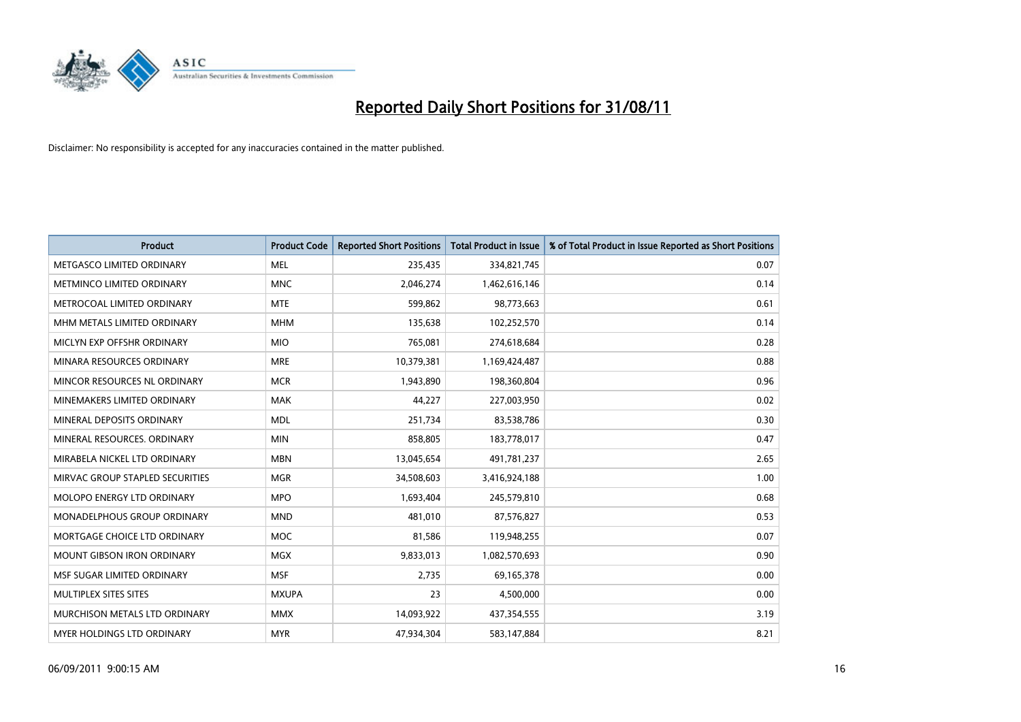

| <b>Product</b>                     | <b>Product Code</b> | <b>Reported Short Positions</b> | <b>Total Product in Issue</b> | % of Total Product in Issue Reported as Short Positions |
|------------------------------------|---------------------|---------------------------------|-------------------------------|---------------------------------------------------------|
| METGASCO LIMITED ORDINARY          | <b>MEL</b>          | 235,435                         | 334,821,745                   | 0.07                                                    |
| METMINCO LIMITED ORDINARY          | <b>MNC</b>          | 2,046,274                       | 1,462,616,146                 | 0.14                                                    |
| METROCOAL LIMITED ORDINARY         | <b>MTE</b>          | 599,862                         | 98,773,663                    | 0.61                                                    |
| MHM METALS LIMITED ORDINARY        | <b>MHM</b>          | 135,638                         | 102,252,570                   | 0.14                                                    |
| MICLYN EXP OFFSHR ORDINARY         | <b>MIO</b>          | 765,081                         | 274,618,684                   | 0.28                                                    |
| MINARA RESOURCES ORDINARY          | <b>MRE</b>          | 10,379,381                      | 1,169,424,487                 | 0.88                                                    |
| MINCOR RESOURCES NL ORDINARY       | <b>MCR</b>          | 1,943,890                       | 198,360,804                   | 0.96                                                    |
| MINEMAKERS LIMITED ORDINARY        | <b>MAK</b>          | 44,227                          | 227,003,950                   | 0.02                                                    |
| MINERAL DEPOSITS ORDINARY          | <b>MDL</b>          | 251,734                         | 83,538,786                    | 0.30                                                    |
| MINERAL RESOURCES, ORDINARY        | <b>MIN</b>          | 858,805                         | 183,778,017                   | 0.47                                                    |
| MIRABELA NICKEL LTD ORDINARY       | <b>MBN</b>          | 13,045,654                      | 491,781,237                   | 2.65                                                    |
| MIRVAC GROUP STAPLED SECURITIES    | <b>MGR</b>          | 34,508,603                      | 3,416,924,188                 | 1.00                                                    |
| MOLOPO ENERGY LTD ORDINARY         | <b>MPO</b>          | 1,693,404                       | 245,579,810                   | 0.68                                                    |
| <b>MONADELPHOUS GROUP ORDINARY</b> | <b>MND</b>          | 481,010                         | 87,576,827                    | 0.53                                                    |
| MORTGAGE CHOICE LTD ORDINARY       | <b>MOC</b>          | 81,586                          | 119,948,255                   | 0.07                                                    |
| <b>MOUNT GIBSON IRON ORDINARY</b>  | <b>MGX</b>          | 9,833,013                       | 1,082,570,693                 | 0.90                                                    |
| MSF SUGAR LIMITED ORDINARY         | <b>MSF</b>          | 2,735                           | 69,165,378                    | 0.00                                                    |
| MULTIPLEX SITES SITES              | <b>MXUPA</b>        | 23                              | 4,500,000                     | 0.00                                                    |
| MURCHISON METALS LTD ORDINARY      | <b>MMX</b>          | 14,093,922                      | 437,354,555                   | 3.19                                                    |
| <b>MYER HOLDINGS LTD ORDINARY</b>  | <b>MYR</b>          | 47,934,304                      | 583,147,884                   | 8.21                                                    |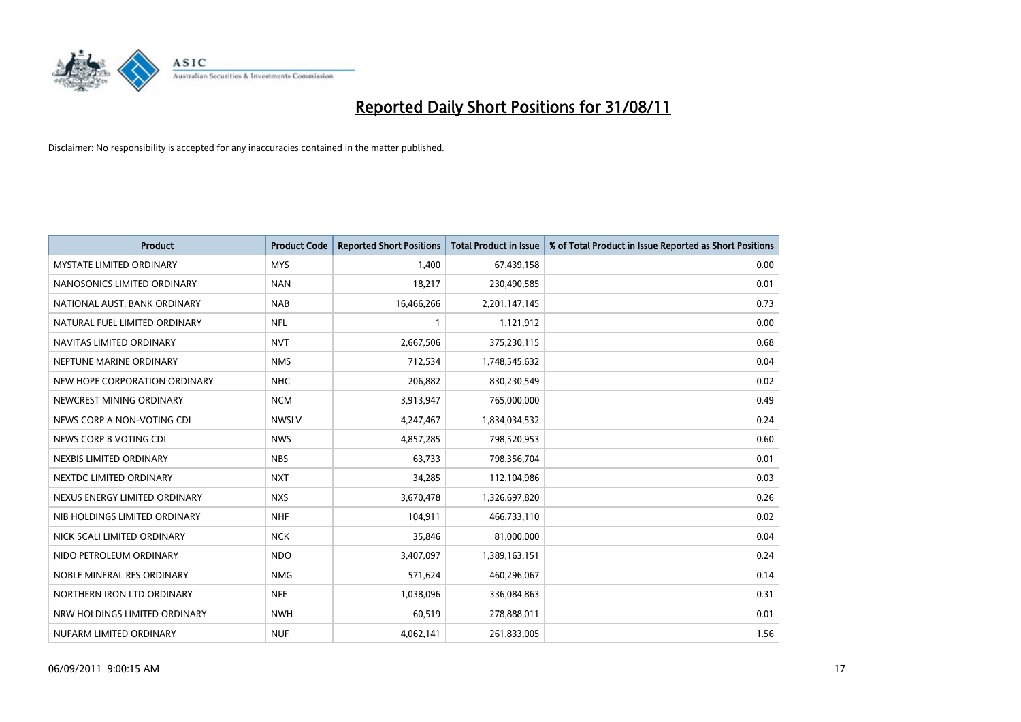

| <b>Product</b>                  | <b>Product Code</b> | <b>Reported Short Positions</b> | <b>Total Product in Issue</b> | % of Total Product in Issue Reported as Short Positions |
|---------------------------------|---------------------|---------------------------------|-------------------------------|---------------------------------------------------------|
| <b>MYSTATE LIMITED ORDINARY</b> | <b>MYS</b>          | 1,400                           | 67,439,158                    | 0.00                                                    |
| NANOSONICS LIMITED ORDINARY     | <b>NAN</b>          | 18,217                          | 230,490,585                   | 0.01                                                    |
| NATIONAL AUST. BANK ORDINARY    | <b>NAB</b>          | 16,466,266                      | 2,201,147,145                 | 0.73                                                    |
| NATURAL FUEL LIMITED ORDINARY   | <b>NFL</b>          |                                 | 1,121,912                     | 0.00                                                    |
| NAVITAS LIMITED ORDINARY        | <b>NVT</b>          | 2,667,506                       | 375,230,115                   | 0.68                                                    |
| NEPTUNE MARINE ORDINARY         | <b>NMS</b>          | 712,534                         | 1,748,545,632                 | 0.04                                                    |
| NEW HOPE CORPORATION ORDINARY   | <b>NHC</b>          | 206,882                         | 830,230,549                   | 0.02                                                    |
| NEWCREST MINING ORDINARY        | <b>NCM</b>          | 3,913,947                       | 765,000,000                   | 0.49                                                    |
| NEWS CORP A NON-VOTING CDI      | <b>NWSLV</b>        | 4,247,467                       | 1,834,034,532                 | 0.24                                                    |
| NEWS CORP B VOTING CDI          | <b>NWS</b>          | 4,857,285                       | 798,520,953                   | 0.60                                                    |
| NEXBIS LIMITED ORDINARY         | <b>NBS</b>          | 63,733                          | 798,356,704                   | 0.01                                                    |
| NEXTDC LIMITED ORDINARY         | <b>NXT</b>          | 34,285                          | 112,104,986                   | 0.03                                                    |
| NEXUS ENERGY LIMITED ORDINARY   | <b>NXS</b>          | 3,670,478                       | 1,326,697,820                 | 0.26                                                    |
| NIB HOLDINGS LIMITED ORDINARY   | <b>NHF</b>          | 104,911                         | 466,733,110                   | 0.02                                                    |
| NICK SCALI LIMITED ORDINARY     | <b>NCK</b>          | 35,846                          | 81,000,000                    | 0.04                                                    |
| NIDO PETROLEUM ORDINARY         | <b>NDO</b>          | 3,407,097                       | 1,389,163,151                 | 0.24                                                    |
| NOBLE MINERAL RES ORDINARY      | <b>NMG</b>          | 571,624                         | 460,296,067                   | 0.14                                                    |
| NORTHERN IRON LTD ORDINARY      | <b>NFE</b>          | 1,038,096                       | 336,084,863                   | 0.31                                                    |
| NRW HOLDINGS LIMITED ORDINARY   | <b>NWH</b>          | 60,519                          | 278,888,011                   | 0.01                                                    |
| NUFARM LIMITED ORDINARY         | <b>NUF</b>          | 4,062,141                       | 261,833,005                   | 1.56                                                    |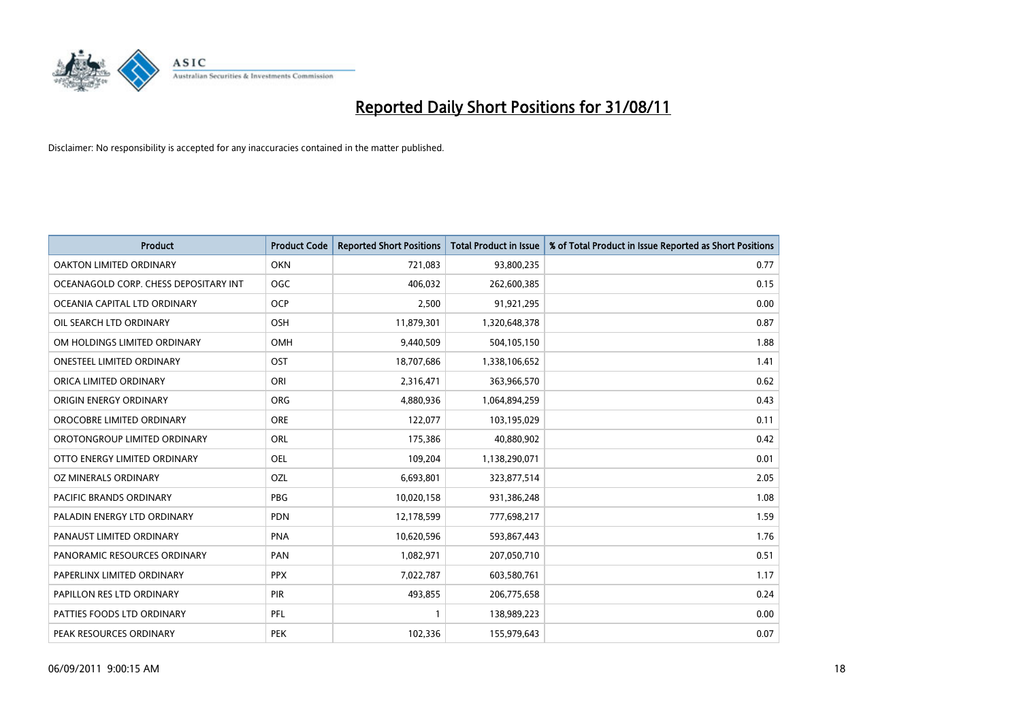

| <b>Product</b>                        | <b>Product Code</b> | <b>Reported Short Positions</b> | Total Product in Issue | % of Total Product in Issue Reported as Short Positions |
|---------------------------------------|---------------------|---------------------------------|------------------------|---------------------------------------------------------|
| <b>OAKTON LIMITED ORDINARY</b>        | <b>OKN</b>          | 721,083                         | 93,800,235             | 0.77                                                    |
| OCEANAGOLD CORP. CHESS DEPOSITARY INT | <b>OGC</b>          | 406,032                         | 262,600,385            | 0.15                                                    |
| OCEANIA CAPITAL LTD ORDINARY          | <b>OCP</b>          | 2,500                           | 91,921,295             | 0.00                                                    |
| OIL SEARCH LTD ORDINARY               | OSH                 | 11,879,301                      | 1,320,648,378          | 0.87                                                    |
| OM HOLDINGS LIMITED ORDINARY          | <b>OMH</b>          | 9,440,509                       | 504,105,150            | 1.88                                                    |
| <b>ONESTEEL LIMITED ORDINARY</b>      | OST                 | 18,707,686                      | 1,338,106,652          | 1.41                                                    |
| ORICA LIMITED ORDINARY                | ORI                 | 2,316,471                       | 363,966,570            | 0.62                                                    |
| ORIGIN ENERGY ORDINARY                | <b>ORG</b>          | 4,880,936                       | 1,064,894,259          | 0.43                                                    |
| OROCOBRE LIMITED ORDINARY             | <b>ORE</b>          | 122,077                         | 103,195,029            | 0.11                                                    |
| OROTONGROUP LIMITED ORDINARY          | <b>ORL</b>          | 175,386                         | 40,880,902             | 0.42                                                    |
| OTTO ENERGY LIMITED ORDINARY          | <b>OEL</b>          | 109,204                         | 1,138,290,071          | 0.01                                                    |
| OZ MINERALS ORDINARY                  | OZL                 | 6,693,801                       | 323,877,514            | 2.05                                                    |
| <b>PACIFIC BRANDS ORDINARY</b>        | <b>PBG</b>          | 10,020,158                      | 931,386,248            | 1.08                                                    |
| PALADIN ENERGY LTD ORDINARY           | <b>PDN</b>          | 12,178,599                      | 777,698,217            | 1.59                                                    |
| PANAUST LIMITED ORDINARY              | <b>PNA</b>          | 10,620,596                      | 593,867,443            | 1.76                                                    |
| PANORAMIC RESOURCES ORDINARY          | PAN                 | 1,082,971                       | 207,050,710            | 0.51                                                    |
| PAPERLINX LIMITED ORDINARY            | <b>PPX</b>          | 7,022,787                       | 603,580,761            | 1.17                                                    |
| PAPILLON RES LTD ORDINARY             | PIR                 | 493,855                         | 206,775,658            | 0.24                                                    |
| PATTIES FOODS LTD ORDINARY            | PFL                 |                                 | 138,989,223            | 0.00                                                    |
| PEAK RESOURCES ORDINARY               | PEK                 | 102,336                         | 155,979,643            | 0.07                                                    |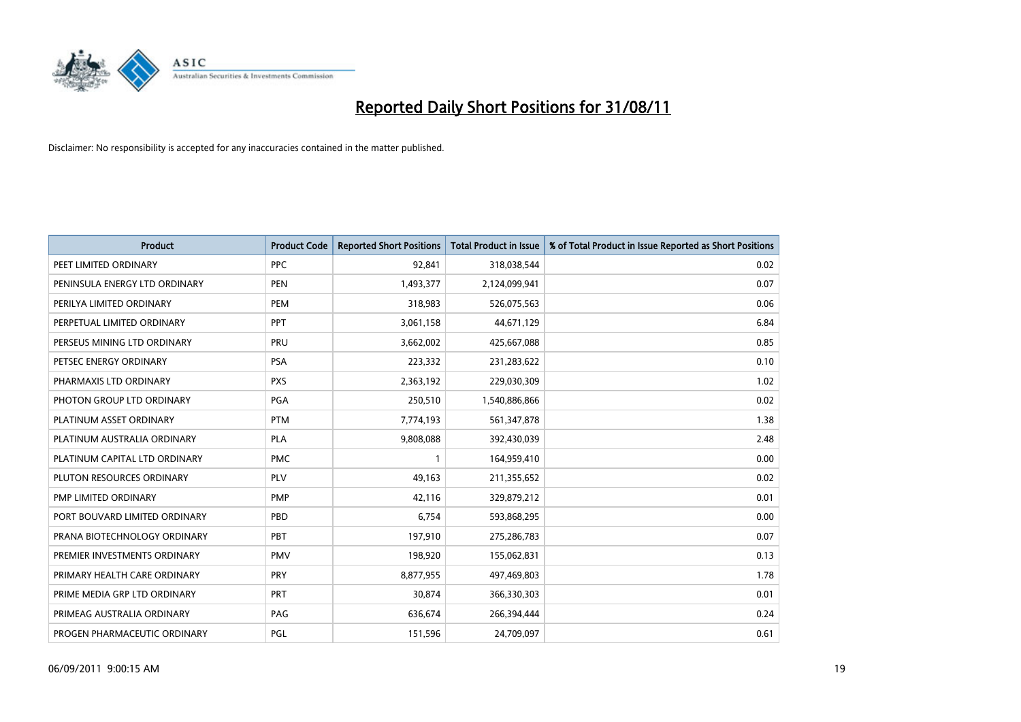

| Product                       | <b>Product Code</b> | <b>Reported Short Positions</b> | <b>Total Product in Issue</b> | % of Total Product in Issue Reported as Short Positions |
|-------------------------------|---------------------|---------------------------------|-------------------------------|---------------------------------------------------------|
| PEET LIMITED ORDINARY         | <b>PPC</b>          | 92,841                          | 318,038,544                   | 0.02                                                    |
| PENINSULA ENERGY LTD ORDINARY | <b>PEN</b>          | 1,493,377                       | 2,124,099,941                 | 0.07                                                    |
| PERILYA LIMITED ORDINARY      | PEM                 | 318,983                         | 526,075,563                   | 0.06                                                    |
| PERPETUAL LIMITED ORDINARY    | PPT                 | 3,061,158                       | 44,671,129                    | 6.84                                                    |
| PERSEUS MINING LTD ORDINARY   | PRU                 | 3,662,002                       | 425,667,088                   | 0.85                                                    |
| PETSEC ENERGY ORDINARY        | <b>PSA</b>          | 223,332                         | 231,283,622                   | 0.10                                                    |
| PHARMAXIS LTD ORDINARY        | <b>PXS</b>          | 2,363,192                       | 229,030,309                   | 1.02                                                    |
| PHOTON GROUP LTD ORDINARY     | PGA                 | 250,510                         | 1,540,886,866                 | 0.02                                                    |
| PLATINUM ASSET ORDINARY       | <b>PTM</b>          | 7,774,193                       | 561,347,878                   | 1.38                                                    |
| PLATINUM AUSTRALIA ORDINARY   | <b>PLA</b>          | 9,808,088                       | 392,430,039                   | 2.48                                                    |
| PLATINUM CAPITAL LTD ORDINARY | <b>PMC</b>          |                                 | 164,959,410                   | 0.00                                                    |
| PLUTON RESOURCES ORDINARY     | <b>PLV</b>          | 49,163                          | 211,355,652                   | 0.02                                                    |
| PMP LIMITED ORDINARY          | PMP                 | 42,116                          | 329,879,212                   | 0.01                                                    |
| PORT BOUVARD LIMITED ORDINARY | PBD                 | 6,754                           | 593,868,295                   | 0.00                                                    |
| PRANA BIOTECHNOLOGY ORDINARY  | PBT                 | 197,910                         | 275,286,783                   | 0.07                                                    |
| PREMIER INVESTMENTS ORDINARY  | <b>PMV</b>          | 198,920                         | 155,062,831                   | 0.13                                                    |
| PRIMARY HEALTH CARE ORDINARY  | <b>PRY</b>          | 8,877,955                       | 497,469,803                   | 1.78                                                    |
| PRIME MEDIA GRP LTD ORDINARY  | <b>PRT</b>          | 30,874                          | 366,330,303                   | 0.01                                                    |
| PRIMEAG AUSTRALIA ORDINARY    | PAG                 | 636,674                         | 266,394,444                   | 0.24                                                    |
| PROGEN PHARMACEUTIC ORDINARY  | PGL                 | 151,596                         | 24,709,097                    | 0.61                                                    |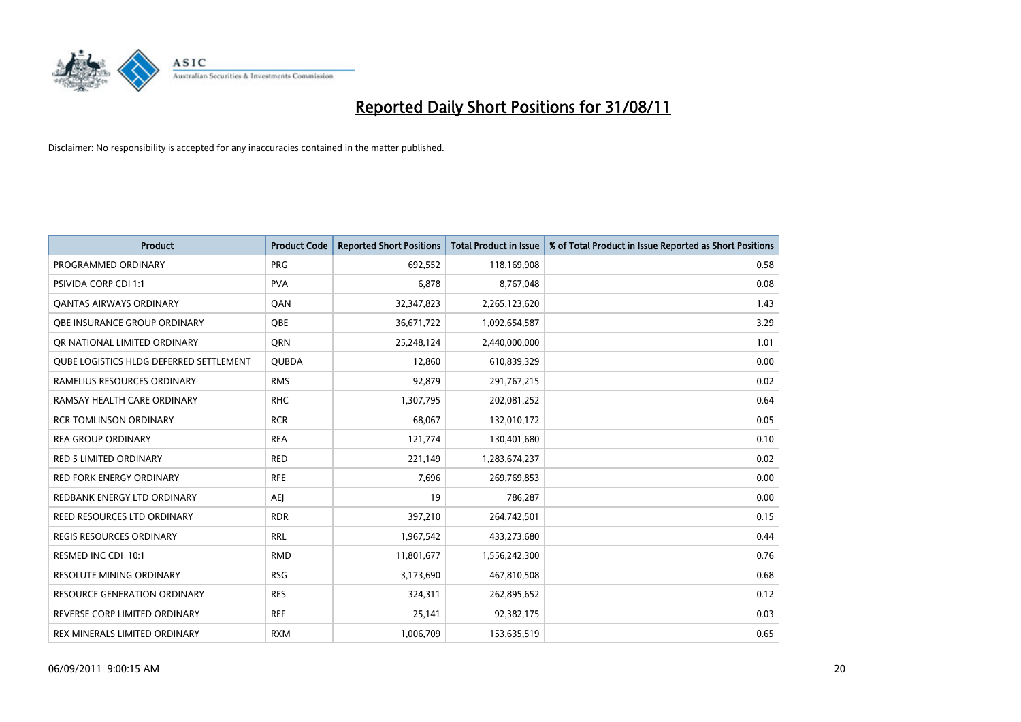

| <b>Product</b>                                 | <b>Product Code</b> | <b>Reported Short Positions</b> | <b>Total Product in Issue</b> | % of Total Product in Issue Reported as Short Positions |
|------------------------------------------------|---------------------|---------------------------------|-------------------------------|---------------------------------------------------------|
| PROGRAMMED ORDINARY                            | <b>PRG</b>          | 692,552                         | 118,169,908                   | 0.58                                                    |
| PSIVIDA CORP CDI 1:1                           | <b>PVA</b>          | 6,878                           | 8,767,048                     | 0.08                                                    |
| QANTAS AIRWAYS ORDINARY                        | QAN                 | 32,347,823                      | 2,265,123,620                 | 1.43                                                    |
| OBE INSURANCE GROUP ORDINARY                   | <b>OBE</b>          | 36,671,722                      | 1,092,654,587                 | 3.29                                                    |
| OR NATIONAL LIMITED ORDINARY                   | <b>ORN</b>          | 25,248,124                      | 2,440,000,000                 | 1.01                                                    |
| <b>OUBE LOGISTICS HLDG DEFERRED SETTLEMENT</b> | <b>QUBDA</b>        | 12,860                          | 610,839,329                   | 0.00                                                    |
| RAMELIUS RESOURCES ORDINARY                    | <b>RMS</b>          | 92,879                          | 291,767,215                   | 0.02                                                    |
| RAMSAY HEALTH CARE ORDINARY                    | <b>RHC</b>          | 1,307,795                       | 202,081,252                   | 0.64                                                    |
| <b>RCR TOMLINSON ORDINARY</b>                  | <b>RCR</b>          | 68,067                          | 132,010,172                   | 0.05                                                    |
| <b>REA GROUP ORDINARY</b>                      | <b>REA</b>          | 121,774                         | 130,401,680                   | 0.10                                                    |
| <b>RED 5 LIMITED ORDINARY</b>                  | <b>RED</b>          | 221,149                         | 1,283,674,237                 | 0.02                                                    |
| <b>RED FORK ENERGY ORDINARY</b>                | <b>RFE</b>          | 7,696                           | 269,769,853                   | 0.00                                                    |
| REDBANK ENERGY LTD ORDINARY                    | <b>AEJ</b>          | 19                              | 786,287                       | 0.00                                                    |
| <b>REED RESOURCES LTD ORDINARY</b>             | <b>RDR</b>          | 397,210                         | 264,742,501                   | 0.15                                                    |
| <b>REGIS RESOURCES ORDINARY</b>                | <b>RRL</b>          | 1,967,542                       | 433,273,680                   | 0.44                                                    |
| RESMED INC CDI 10:1                            | <b>RMD</b>          | 11,801,677                      | 1,556,242,300                 | 0.76                                                    |
| <b>RESOLUTE MINING ORDINARY</b>                | <b>RSG</b>          | 3,173,690                       | 467,810,508                   | 0.68                                                    |
| RESOURCE GENERATION ORDINARY                   | <b>RES</b>          | 324,311                         | 262,895,652                   | 0.12                                                    |
| REVERSE CORP LIMITED ORDINARY                  | <b>REF</b>          | 25,141                          | 92,382,175                    | 0.03                                                    |
| REX MINERALS LIMITED ORDINARY                  | <b>RXM</b>          | 1,006,709                       | 153,635,519                   | 0.65                                                    |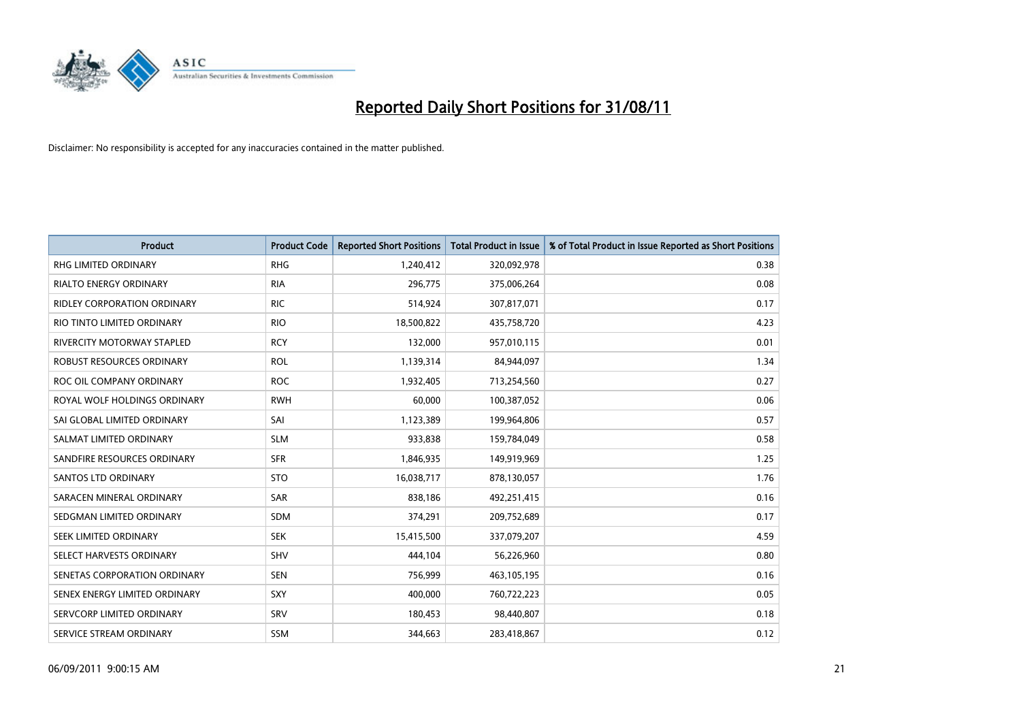

| <b>Product</b>                     | <b>Product Code</b> | <b>Reported Short Positions</b> | Total Product in Issue | % of Total Product in Issue Reported as Short Positions |
|------------------------------------|---------------------|---------------------------------|------------------------|---------------------------------------------------------|
| <b>RHG LIMITED ORDINARY</b>        | <b>RHG</b>          | 1,240,412                       | 320,092,978            | 0.38                                                    |
| RIALTO ENERGY ORDINARY             | <b>RIA</b>          | 296,775                         | 375,006,264            | 0.08                                                    |
| <b>RIDLEY CORPORATION ORDINARY</b> | <b>RIC</b>          | 514,924                         | 307,817,071            | 0.17                                                    |
| RIO TINTO LIMITED ORDINARY         | <b>RIO</b>          | 18,500,822                      | 435,758,720            | 4.23                                                    |
| <b>RIVERCITY MOTORWAY STAPLED</b>  | <b>RCY</b>          | 132,000                         | 957,010,115            | 0.01                                                    |
| ROBUST RESOURCES ORDINARY          | <b>ROL</b>          | 1,139,314                       | 84,944,097             | 1.34                                                    |
| ROC OIL COMPANY ORDINARY           | <b>ROC</b>          | 1,932,405                       | 713,254,560            | 0.27                                                    |
| ROYAL WOLF HOLDINGS ORDINARY       | <b>RWH</b>          | 60,000                          | 100,387,052            | 0.06                                                    |
| SAI GLOBAL LIMITED ORDINARY        | SAI                 | 1,123,389                       | 199,964,806            | 0.57                                                    |
| SALMAT LIMITED ORDINARY            | <b>SLM</b>          | 933,838                         | 159,784,049            | 0.58                                                    |
| SANDFIRE RESOURCES ORDINARY        | <b>SFR</b>          | 1,846,935                       | 149,919,969            | 1.25                                                    |
| <b>SANTOS LTD ORDINARY</b>         | <b>STO</b>          | 16,038,717                      | 878,130,057            | 1.76                                                    |
| SARACEN MINERAL ORDINARY           | <b>SAR</b>          | 838,186                         | 492,251,415            | 0.16                                                    |
| SEDGMAN LIMITED ORDINARY           | <b>SDM</b>          | 374,291                         | 209,752,689            | 0.17                                                    |
| SEEK LIMITED ORDINARY              | <b>SEK</b>          | 15,415,500                      | 337,079,207            | 4.59                                                    |
| SELECT HARVESTS ORDINARY           | SHV                 | 444,104                         | 56,226,960             | 0.80                                                    |
| SENETAS CORPORATION ORDINARY       | <b>SEN</b>          | 756,999                         | 463,105,195            | 0.16                                                    |
| SENEX ENERGY LIMITED ORDINARY      | <b>SXY</b>          | 400,000                         | 760,722,223            | 0.05                                                    |
| SERVCORP LIMITED ORDINARY          | SRV                 | 180,453                         | 98,440,807             | 0.18                                                    |
| SERVICE STREAM ORDINARY            | <b>SSM</b>          | 344,663                         | 283,418,867            | 0.12                                                    |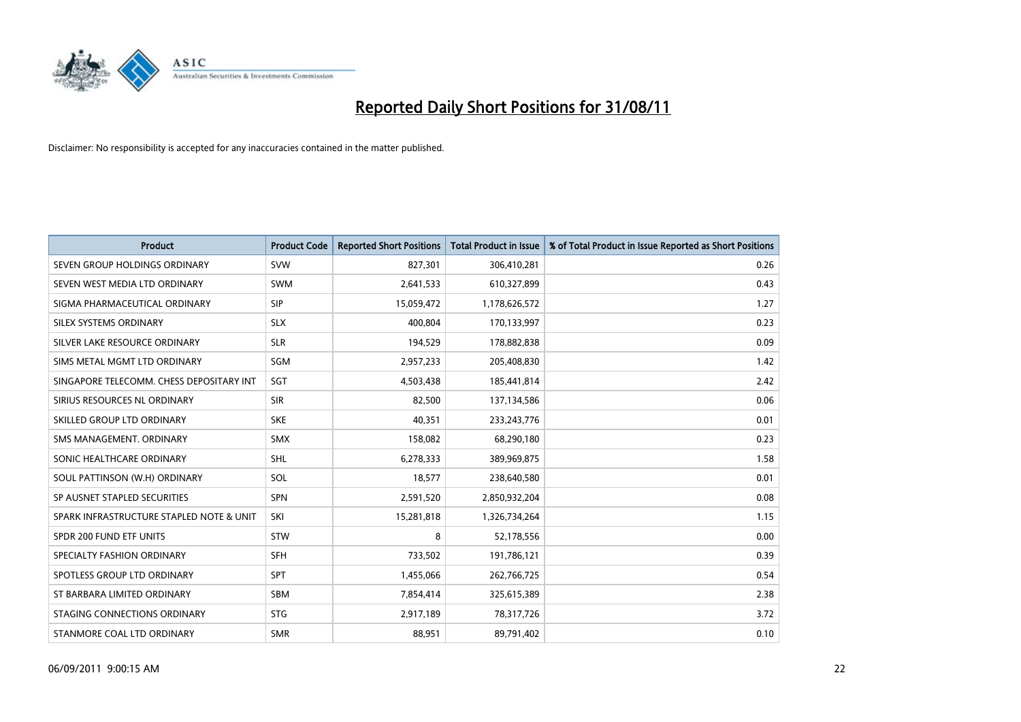

| Product                                  | <b>Product Code</b> | <b>Reported Short Positions</b> | Total Product in Issue | % of Total Product in Issue Reported as Short Positions |
|------------------------------------------|---------------------|---------------------------------|------------------------|---------------------------------------------------------|
| SEVEN GROUP HOLDINGS ORDINARY            | <b>SVW</b>          | 827,301                         | 306,410,281            | 0.26                                                    |
| SEVEN WEST MEDIA LTD ORDINARY            | <b>SWM</b>          | 2,641,533                       | 610,327,899            | 0.43                                                    |
| SIGMA PHARMACEUTICAL ORDINARY            | <b>SIP</b>          | 15,059,472                      | 1,178,626,572          | 1.27                                                    |
| SILEX SYSTEMS ORDINARY                   | <b>SLX</b>          | 400,804                         | 170,133,997            | 0.23                                                    |
| SILVER LAKE RESOURCE ORDINARY            | <b>SLR</b>          | 194,529                         | 178,882,838            | 0.09                                                    |
| SIMS METAL MGMT LTD ORDINARY             | <b>SGM</b>          | 2,957,233                       | 205,408,830            | 1.42                                                    |
| SINGAPORE TELECOMM. CHESS DEPOSITARY INT | SGT                 | 4,503,438                       | 185,441,814            | 2.42                                                    |
| SIRIUS RESOURCES NL ORDINARY             | <b>SIR</b>          | 82,500                          | 137,134,586            | 0.06                                                    |
| SKILLED GROUP LTD ORDINARY               | <b>SKE</b>          | 40,351                          | 233, 243, 776          | 0.01                                                    |
| SMS MANAGEMENT, ORDINARY                 | <b>SMX</b>          | 158,082                         | 68,290,180             | 0.23                                                    |
| SONIC HEALTHCARE ORDINARY                | <b>SHL</b>          | 6,278,333                       | 389,969,875            | 1.58                                                    |
| SOUL PATTINSON (W.H) ORDINARY            | SOL                 | 18,577                          | 238,640,580            | 0.01                                                    |
| SP AUSNET STAPLED SECURITIES             | <b>SPN</b>          | 2,591,520                       | 2,850,932,204          | 0.08                                                    |
| SPARK INFRASTRUCTURE STAPLED NOTE & UNIT | SKI                 | 15,281,818                      | 1,326,734,264          | 1.15                                                    |
| SPDR 200 FUND ETF UNITS                  | <b>STW</b>          | 8                               | 52,178,556             | 0.00                                                    |
| SPECIALTY FASHION ORDINARY               | <b>SFH</b>          | 733,502                         | 191,786,121            | 0.39                                                    |
| SPOTLESS GROUP LTD ORDINARY              | <b>SPT</b>          | 1,455,066                       | 262,766,725            | 0.54                                                    |
| ST BARBARA LIMITED ORDINARY              | <b>SBM</b>          | 7,854,414                       | 325,615,389            | 2.38                                                    |
| STAGING CONNECTIONS ORDINARY             | <b>STG</b>          | 2,917,189                       | 78,317,726             | 3.72                                                    |
| STANMORE COAL LTD ORDINARY               | <b>SMR</b>          | 88,951                          | 89,791,402             | 0.10                                                    |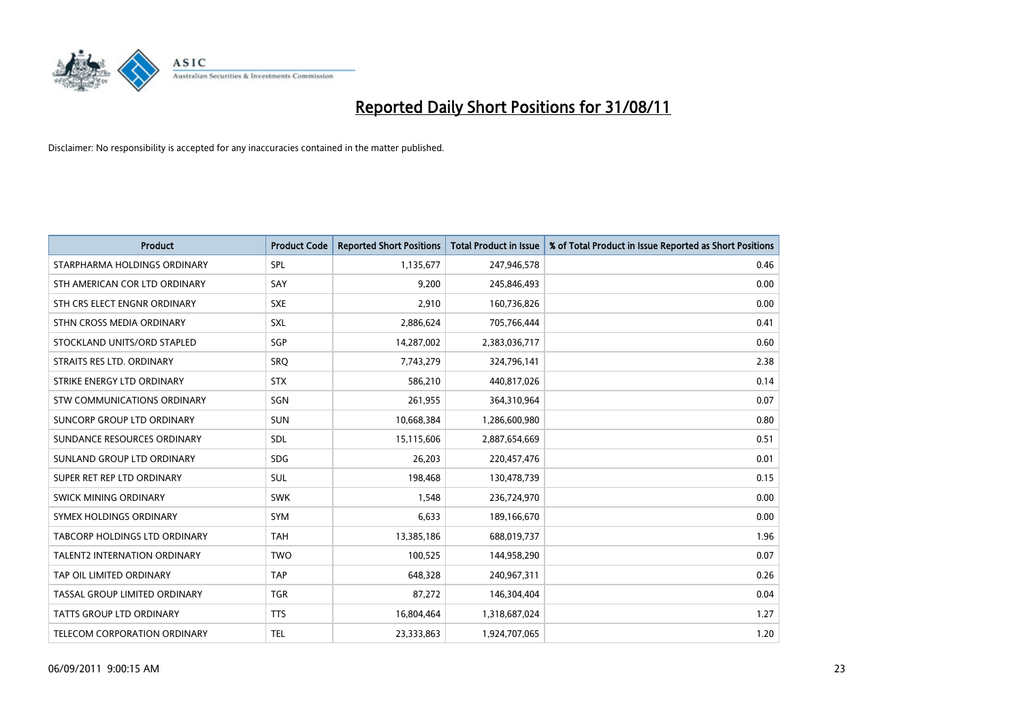

| <b>Product</b>                      | <b>Product Code</b> | <b>Reported Short Positions</b> | <b>Total Product in Issue</b> | % of Total Product in Issue Reported as Short Positions |
|-------------------------------------|---------------------|---------------------------------|-------------------------------|---------------------------------------------------------|
| STARPHARMA HOLDINGS ORDINARY        | SPL                 | 1,135,677                       | 247,946,578                   | 0.46                                                    |
| STH AMERICAN COR LTD ORDINARY       | SAY                 | 9,200                           | 245,846,493                   | 0.00                                                    |
| STH CRS ELECT ENGNR ORDINARY        | <b>SXE</b>          | 2,910                           | 160,736,826                   | 0.00                                                    |
| STHN CROSS MEDIA ORDINARY           | SXL                 | 2,886,624                       | 705,766,444                   | 0.41                                                    |
| STOCKLAND UNITS/ORD STAPLED         | SGP                 | 14,287,002                      | 2,383,036,717                 | 0.60                                                    |
| STRAITS RES LTD. ORDINARY           | SRO                 | 7,743,279                       | 324,796,141                   | 2.38                                                    |
| STRIKE ENERGY LTD ORDINARY          | <b>STX</b>          | 586,210                         | 440,817,026                   | 0.14                                                    |
| STW COMMUNICATIONS ORDINARY         | SGN                 | 261,955                         | 364,310,964                   | 0.07                                                    |
| SUNCORP GROUP LTD ORDINARY          | <b>SUN</b>          | 10,668,384                      | 1,286,600,980                 | 0.80                                                    |
| SUNDANCE RESOURCES ORDINARY         | <b>SDL</b>          | 15,115,606                      | 2,887,654,669                 | 0.51                                                    |
| SUNLAND GROUP LTD ORDINARY          | <b>SDG</b>          | 26,203                          | 220,457,476                   | 0.01                                                    |
| SUPER RET REP LTD ORDINARY          | <b>SUL</b>          | 198,468                         | 130,478,739                   | 0.15                                                    |
| SWICK MINING ORDINARY               | <b>SWK</b>          | 1,548                           | 236,724,970                   | 0.00                                                    |
| SYMEX HOLDINGS ORDINARY             | <b>SYM</b>          | 6,633                           | 189,166,670                   | 0.00                                                    |
| TABCORP HOLDINGS LTD ORDINARY       | <b>TAH</b>          | 13,385,186                      | 688,019,737                   | 1.96                                                    |
| <b>TALENT2 INTERNATION ORDINARY</b> | <b>TWO</b>          | 100,525                         | 144,958,290                   | 0.07                                                    |
| TAP OIL LIMITED ORDINARY            | <b>TAP</b>          | 648,328                         | 240,967,311                   | 0.26                                                    |
| TASSAL GROUP LIMITED ORDINARY       | <b>TGR</b>          | 87,272                          | 146,304,404                   | 0.04                                                    |
| TATTS GROUP LTD ORDINARY            | <b>TTS</b>          | 16,804,464                      | 1,318,687,024                 | 1.27                                                    |
| TELECOM CORPORATION ORDINARY        | <b>TEL</b>          | 23,333,863                      | 1,924,707,065                 | 1.20                                                    |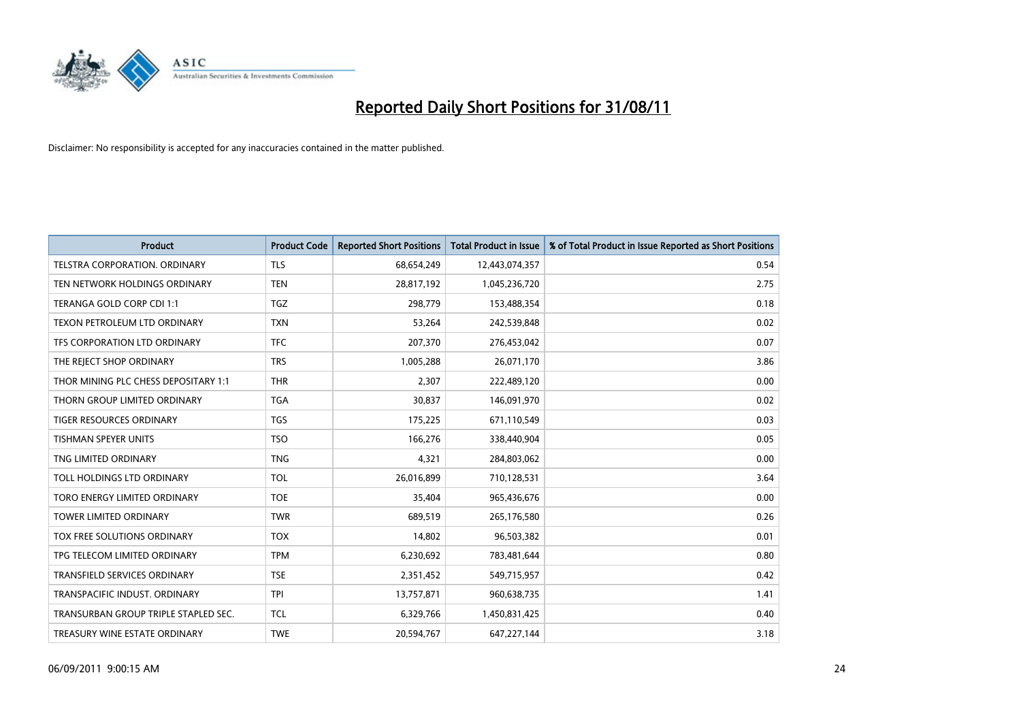

| Product                              | <b>Product Code</b> | <b>Reported Short Positions</b> | Total Product in Issue | % of Total Product in Issue Reported as Short Positions |
|--------------------------------------|---------------------|---------------------------------|------------------------|---------------------------------------------------------|
| <b>TELSTRA CORPORATION, ORDINARY</b> | <b>TLS</b>          | 68,654,249                      | 12,443,074,357         | 0.54                                                    |
| TEN NETWORK HOLDINGS ORDINARY        | <b>TEN</b>          | 28,817,192                      | 1,045,236,720          | 2.75                                                    |
| TERANGA GOLD CORP CDI 1:1            | <b>TGZ</b>          | 298,779                         | 153,488,354            | 0.18                                                    |
| TEXON PETROLEUM LTD ORDINARY         | <b>TXN</b>          | 53,264                          | 242,539,848            | 0.02                                                    |
| TFS CORPORATION LTD ORDINARY         | <b>TFC</b>          | 207,370                         | 276,453,042            | 0.07                                                    |
| THE REJECT SHOP ORDINARY             | <b>TRS</b>          | 1,005,288                       | 26,071,170             | 3.86                                                    |
| THOR MINING PLC CHESS DEPOSITARY 1:1 | <b>THR</b>          | 2,307                           | 222,489,120            | 0.00                                                    |
| THORN GROUP LIMITED ORDINARY         | <b>TGA</b>          | 30,837                          | 146,091,970            | 0.02                                                    |
| TIGER RESOURCES ORDINARY             | <b>TGS</b>          | 175,225                         | 671,110,549            | 0.03                                                    |
| <b>TISHMAN SPEYER UNITS</b>          | <b>TSO</b>          | 166,276                         | 338,440,904            | 0.05                                                    |
| TNG LIMITED ORDINARY                 | <b>TNG</b>          | 4,321                           | 284,803,062            | 0.00                                                    |
| TOLL HOLDINGS LTD ORDINARY           | <b>TOL</b>          | 26,016,899                      | 710,128,531            | 3.64                                                    |
| TORO ENERGY LIMITED ORDINARY         | <b>TOE</b>          | 35,404                          | 965,436,676            | 0.00                                                    |
| <b>TOWER LIMITED ORDINARY</b>        | <b>TWR</b>          | 689,519                         | 265,176,580            | 0.26                                                    |
| TOX FREE SOLUTIONS ORDINARY          | <b>TOX</b>          | 14,802                          | 96,503,382             | 0.01                                                    |
| TPG TELECOM LIMITED ORDINARY         | <b>TPM</b>          | 6,230,692                       | 783,481,644            | 0.80                                                    |
| <b>TRANSFIELD SERVICES ORDINARY</b>  | <b>TSE</b>          | 2,351,452                       | 549,715,957            | 0.42                                                    |
| TRANSPACIFIC INDUST. ORDINARY        | <b>TPI</b>          | 13,757,871                      | 960,638,735            | 1.41                                                    |
| TRANSURBAN GROUP TRIPLE STAPLED SEC. | <b>TCL</b>          | 6,329,766                       | 1,450,831,425          | 0.40                                                    |
| TREASURY WINE ESTATE ORDINARY        | <b>TWE</b>          | 20,594,767                      | 647,227,144            | 3.18                                                    |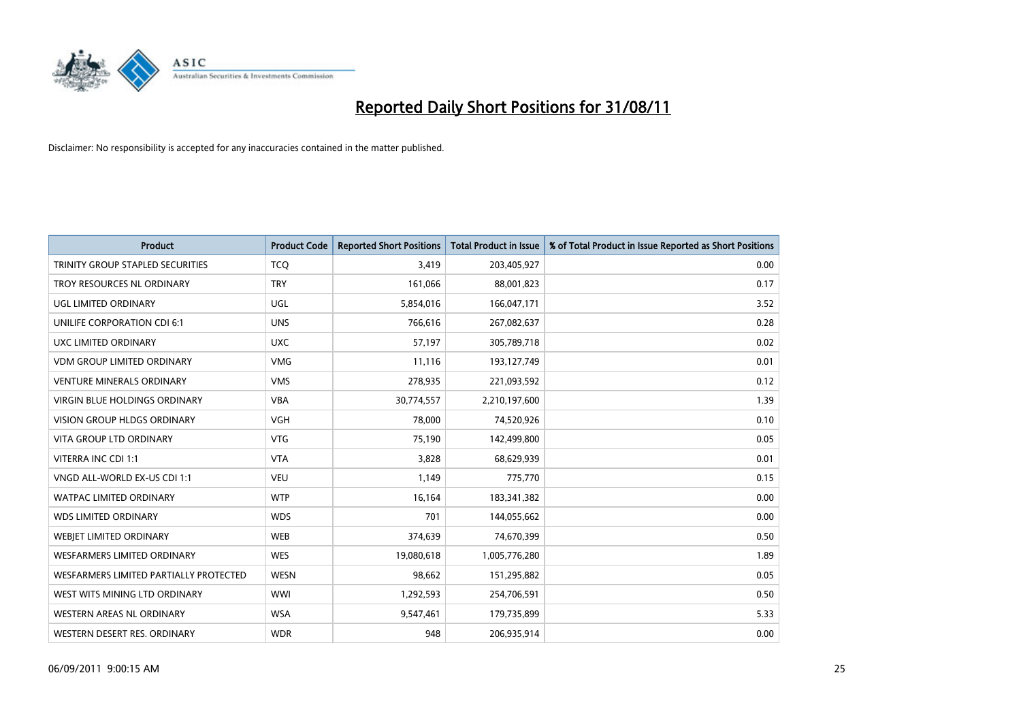

| Product                                 | <b>Product Code</b> | <b>Reported Short Positions</b> | <b>Total Product in Issue</b> | % of Total Product in Issue Reported as Short Positions |
|-----------------------------------------|---------------------|---------------------------------|-------------------------------|---------------------------------------------------------|
| <b>TRINITY GROUP STAPLED SECURITIES</b> | <b>TCQ</b>          | 3,419                           | 203,405,927                   | 0.00                                                    |
| TROY RESOURCES NL ORDINARY              | <b>TRY</b>          | 161,066                         | 88,001,823                    | 0.17                                                    |
| UGL LIMITED ORDINARY                    | <b>UGL</b>          | 5,854,016                       | 166,047,171                   | 3.52                                                    |
| UNILIFE CORPORATION CDI 6:1             | <b>UNS</b>          | 766,616                         | 267,082,637                   | 0.28                                                    |
| <b>UXC LIMITED ORDINARY</b>             | <b>UXC</b>          | 57,197                          | 305,789,718                   | 0.02                                                    |
| <b>VDM GROUP LIMITED ORDINARY</b>       | <b>VMG</b>          | 11,116                          | 193,127,749                   | 0.01                                                    |
| <b>VENTURE MINERALS ORDINARY</b>        | <b>VMS</b>          | 278,935                         | 221,093,592                   | 0.12                                                    |
| VIRGIN BLUE HOLDINGS ORDINARY           | <b>VBA</b>          | 30,774,557                      | 2,210,197,600                 | 1.39                                                    |
| <b>VISION GROUP HLDGS ORDINARY</b>      | <b>VGH</b>          | 78,000                          | 74,520,926                    | 0.10                                                    |
| <b>VITA GROUP LTD ORDINARY</b>          | <b>VTG</b>          | 75,190                          | 142,499,800                   | 0.05                                                    |
| VITERRA INC CDI 1:1                     | <b>VTA</b>          | 3,828                           | 68,629,939                    | 0.01                                                    |
| VNGD ALL-WORLD EX-US CDI 1:1            | <b>VEU</b>          | 1,149                           | 775,770                       | 0.15                                                    |
| WATPAC LIMITED ORDINARY                 | <b>WTP</b>          | 16,164                          | 183,341,382                   | 0.00                                                    |
| <b>WDS LIMITED ORDINARY</b>             | <b>WDS</b>          | 701                             | 144,055,662                   | 0.00                                                    |
| <b>WEBIET LIMITED ORDINARY</b>          | <b>WEB</b>          | 374,639                         | 74,670,399                    | 0.50                                                    |
| WESFARMERS LIMITED ORDINARY             | <b>WES</b>          | 19,080,618                      | 1,005,776,280                 | 1.89                                                    |
| WESFARMERS LIMITED PARTIALLY PROTECTED  | <b>WESN</b>         | 98,662                          | 151,295,882                   | 0.05                                                    |
| WEST WITS MINING LTD ORDINARY           | <b>WWI</b>          | 1,292,593                       | 254,706,591                   | 0.50                                                    |
| <b>WESTERN AREAS NL ORDINARY</b>        | <b>WSA</b>          | 9,547,461                       | 179,735,899                   | 5.33                                                    |
| WESTERN DESERT RES. ORDINARY            | <b>WDR</b>          | 948                             | 206,935,914                   | 0.00                                                    |